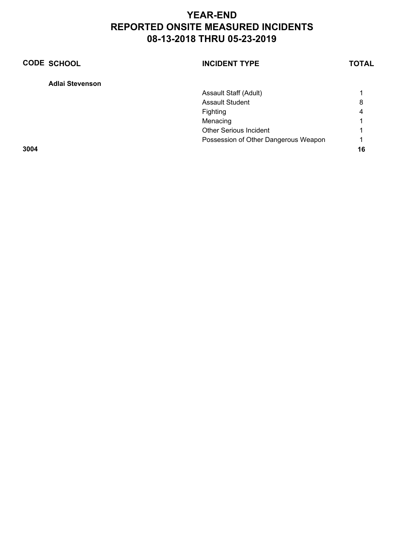| <b>CODE SCHOOL</b>     | <b>INCIDENT TYPE</b>                 | <b>TOTAL</b> |
|------------------------|--------------------------------------|--------------|
| <b>Adlai Stevenson</b> |                                      |              |
|                        | Assault Staff (Adult)                |              |
|                        | <b>Assault Student</b>               | 8            |
|                        | Fighting                             | 4            |
|                        | Menacing                             |              |
|                        | <b>Other Serious Incident</b>        |              |
|                        | Possession of Other Dangerous Weapon | 1            |
| 3004                   |                                      | 16           |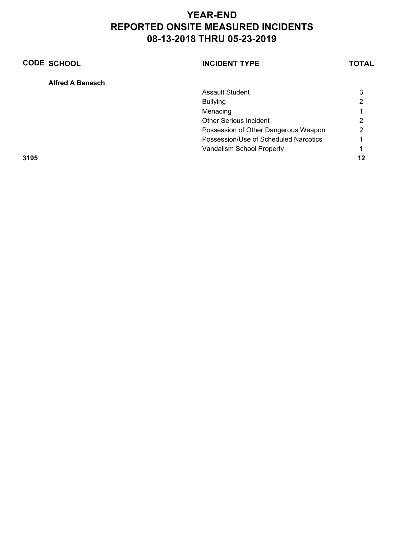| <b>CODE SCHOOL</b>      | <b>INCIDENT TYPE</b>                  | <b>TOTAL</b> |
|-------------------------|---------------------------------------|--------------|
| <b>Alfred A Benesch</b> |                                       |              |
|                         | <b>Assault Student</b>                | 3            |
|                         | <b>Bullying</b>                       | າ            |
|                         | Menacing                              |              |
|                         | Other Serious Incident                | ◠            |
|                         | Possession of Other Dangerous Weapon  | 2            |
|                         | Possession/Use of Scheduled Narcotics |              |
|                         | Vandalism School Property             |              |
| 3195                    |                                       | 12           |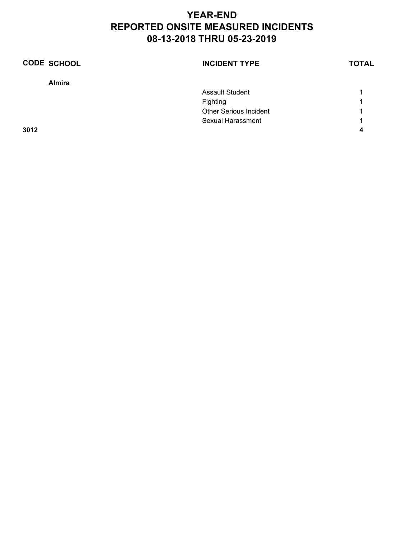| <b>CODE SCHOOL</b> | <b>INCIDENT TYPE</b>          | <b>TOTAL</b> |
|--------------------|-------------------------------|--------------|
| <b>Almira</b>      |                               |              |
|                    | <b>Assault Student</b>        |              |
|                    | Fighting                      | 1            |
|                    | <b>Other Serious Incident</b> | 1            |
|                    | Sexual Harassment             | 1            |
| 3012               |                               |              |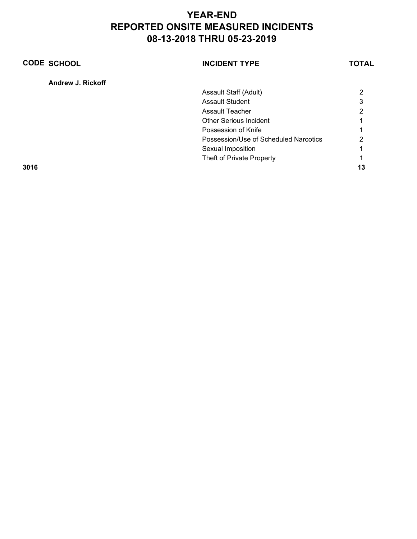| <b>CODE SCHOOL</b> | <b>INCIDENT TYPE</b>                  | <b>TOTAL</b> |
|--------------------|---------------------------------------|--------------|
| Andrew J. Rickoff  |                                       |              |
|                    | Assault Staff (Adult)                 | 2            |
|                    | <b>Assault Student</b>                | 3            |
|                    | Assault Teacher                       | っ            |
|                    | <b>Other Serious Incident</b>         |              |
|                    | Possession of Knife                   |              |
|                    | Possession/Use of Scheduled Narcotics | っ            |
|                    | Sexual Imposition                     |              |
|                    | Theft of Private Property             |              |
| 3016               |                                       | 13           |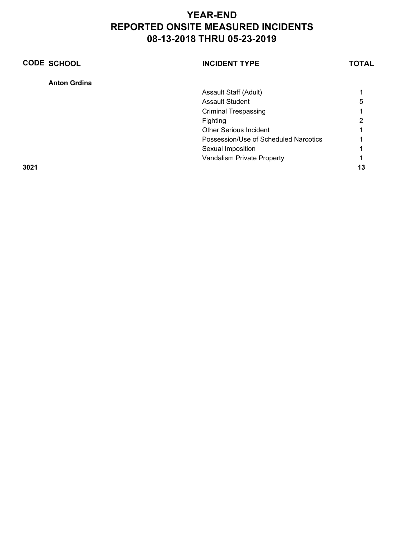| <b>CODE SCHOOL</b>  | <b>INCIDENT TYPE</b>                  | <b>TOTAL</b> |
|---------------------|---------------------------------------|--------------|
| <b>Anton Grdina</b> |                                       |              |
|                     | Assault Staff (Adult)                 |              |
|                     | <b>Assault Student</b>                | 5            |
|                     | <b>Criminal Trespassing</b>           |              |
|                     | Fighting                              | 2            |
|                     | <b>Other Serious Incident</b>         |              |
|                     | Possession/Use of Scheduled Narcotics |              |
|                     | Sexual Imposition                     |              |
|                     | Vandalism Private Property            |              |
| 3021                |                                       | 13           |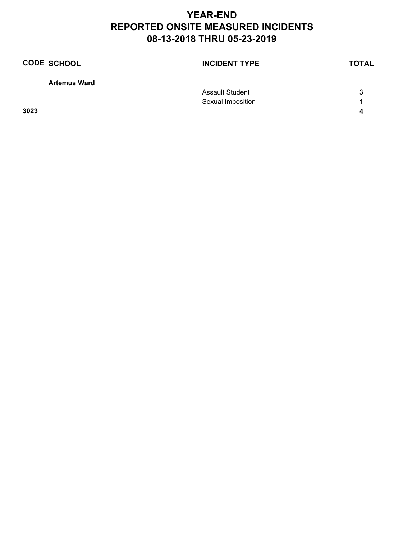| <b>CODE SCHOOL</b>  | <b>INCIDENT TYPE</b>   | <b>TOTAL</b> |
|---------------------|------------------------|--------------|
| <b>Artemus Ward</b> |                        |              |
|                     | <b>Assault Student</b> | 3            |
|                     | Sexual Imposition      |              |
| 3023                |                        | 4            |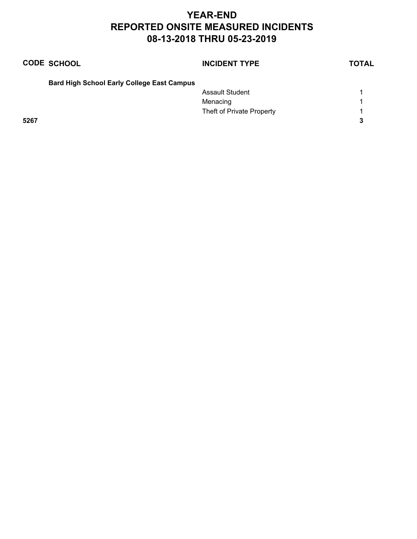|      | <b>CODE SCHOOL</b>                                | <b>INCIDENT TYPE</b>      | <b>TOTAL</b> |
|------|---------------------------------------------------|---------------------------|--------------|
|      | <b>Bard High School Early College East Campus</b> |                           |              |
|      |                                                   | <b>Assault Student</b>    | 1            |
|      |                                                   | Menacing                  | 1            |
|      |                                                   | Theft of Private Property | 1            |
| 5267 |                                                   |                           | 3            |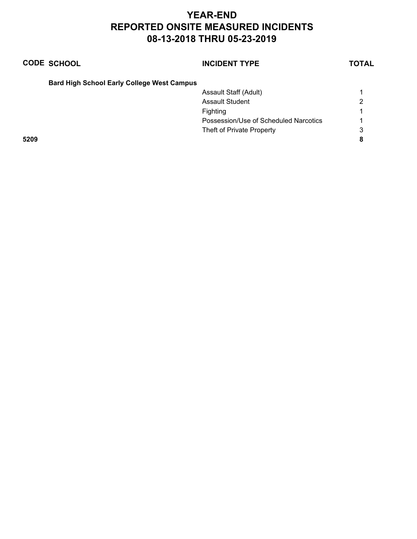|      | <b>CODE SCHOOL</b>                                | <b>INCIDENT TYPE</b>                  | <b>TOTAL</b> |
|------|---------------------------------------------------|---------------------------------------|--------------|
|      | <b>Bard High School Early College West Campus</b> |                                       |              |
|      |                                                   | Assault Staff (Adult)                 |              |
|      |                                                   | <b>Assault Student</b>                | 2            |
|      |                                                   | Fighting                              |              |
|      |                                                   | Possession/Use of Scheduled Narcotics |              |
|      |                                                   | Theft of Private Property             | 3            |
| 5209 |                                                   |                                       |              |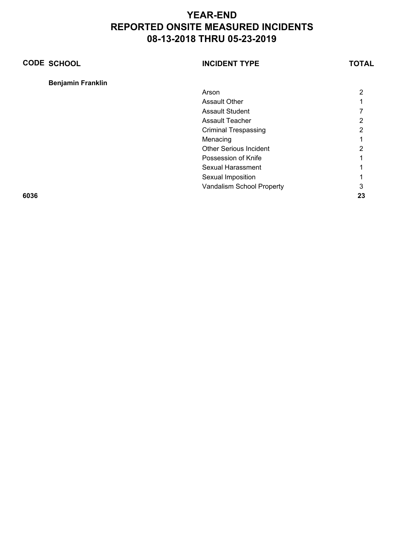| <b>CODE SCHOOL</b>       | <b>INCIDENT TYPE</b>          | <b>TOTAL</b> |
|--------------------------|-------------------------------|--------------|
| <b>Benjamin Franklin</b> |                               |              |
|                          | Arson                         | 2            |
|                          | Assault Other                 |              |
|                          | <b>Assault Student</b>        |              |
|                          | <b>Assault Teacher</b>        | 2            |
|                          | <b>Criminal Trespassing</b>   | 2            |
|                          | Menacing                      |              |
|                          | <b>Other Serious Incident</b> | 2            |
|                          | Possession of Knife           |              |
|                          | <b>Sexual Harassment</b>      |              |
|                          | Sexual Imposition             |              |
|                          | Vandalism School Property     | 3            |
| 6036                     |                               | 23           |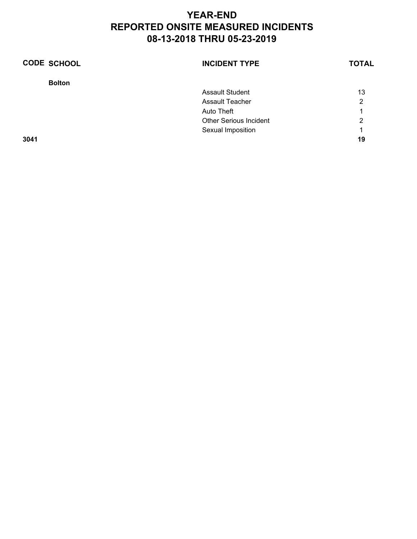| <b>CODE SCHOOL</b> | <b>INCIDENT TYPE</b>          | <b>TOTAL</b> |
|--------------------|-------------------------------|--------------|
| <b>Bolton</b>      |                               |              |
|                    | <b>Assault Student</b>        | 13           |
|                    | <b>Assault Teacher</b>        | 2            |
|                    | Auto Theft                    |              |
|                    | <b>Other Serious Incident</b> | 2            |
|                    | Sexual Imposition             |              |
| 3041               |                               | 19           |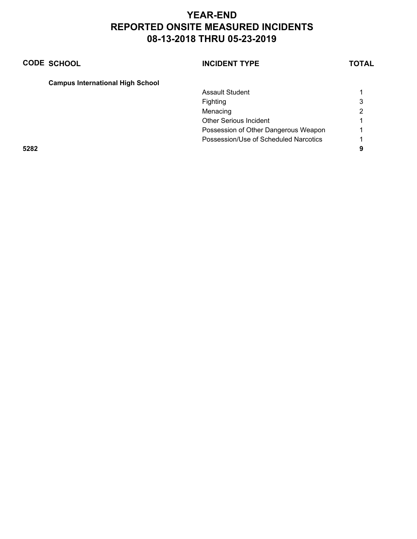| <b>CODE SCHOOL</b>                      | <b>INCIDENT TYPE</b>                  | <b>TOTAL</b> |
|-----------------------------------------|---------------------------------------|--------------|
| <b>Campus International High School</b> |                                       |              |
|                                         | <b>Assault Student</b>                |              |
|                                         | Fighting                              | 3            |
|                                         | Menacing                              | າ            |
|                                         | <b>Other Serious Incident</b>         |              |
|                                         | Possession of Other Dangerous Weapon  |              |
|                                         | Possession/Use of Scheduled Narcotics |              |
| 5282                                    |                                       | 9            |
|                                         |                                       |              |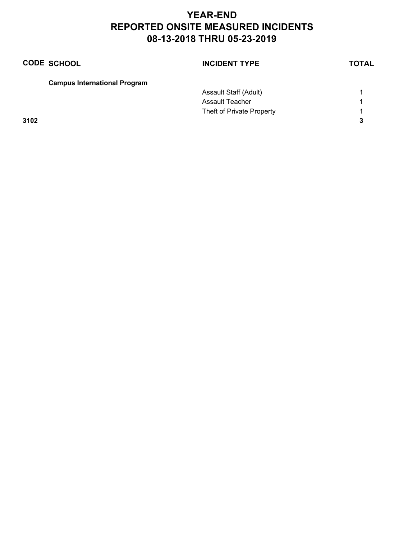|      | <b>CODE SCHOOL</b>                  | <b>INCIDENT TYPE</b>      | <b>TOTAL</b> |
|------|-------------------------------------|---------------------------|--------------|
|      | <b>Campus International Program</b> |                           |              |
|      |                                     | Assault Staff (Adult)     |              |
|      |                                     | <b>Assault Teacher</b>    | 1            |
|      |                                     | Theft of Private Property |              |
| 3102 |                                     |                           | 3            |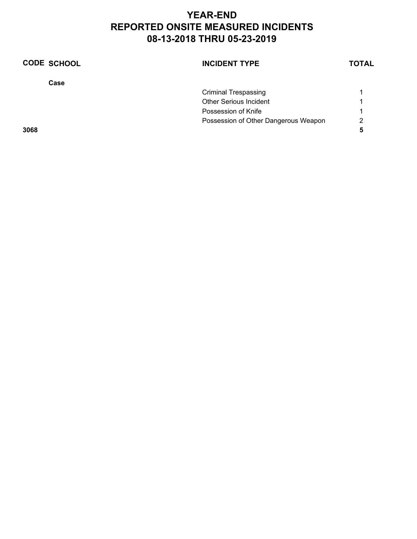| <b>CODE SCHOOL</b> | <b>INCIDENT TYPE</b>                 | <b>TOTAL</b> |
|--------------------|--------------------------------------|--------------|
| Case               |                                      |              |
|                    | <b>Criminal Trespassing</b>          |              |
|                    | <b>Other Serious Incident</b>        |              |
|                    | Possession of Knife                  |              |
|                    | Possession of Other Dangerous Weapon | 2            |
| 3068               |                                      | 5            |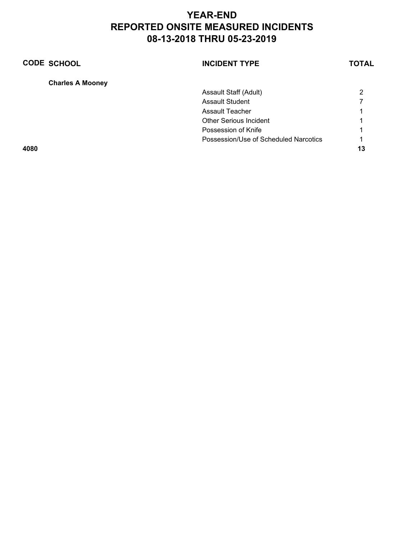| <b>CODE SCHOOL</b>      | <b>INCIDENT TYPE</b>                  | <b>TOTAL</b> |
|-------------------------|---------------------------------------|--------------|
| <b>Charles A Mooney</b> |                                       |              |
|                         | Assault Staff (Adult)                 | 2            |
|                         | <b>Assault Student</b>                |              |
|                         | Assault Teacher                       |              |
|                         | <b>Other Serious Incident</b>         |              |
|                         | Possession of Knife                   |              |
|                         | Possession/Use of Scheduled Narcotics | 1            |
| 4080                    |                                       | 13           |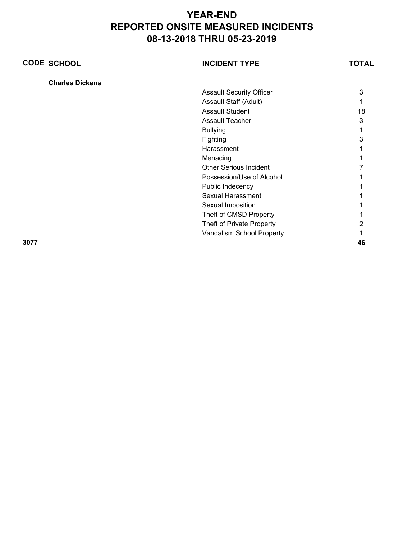| <b>CODE SCHOOL</b>     | <b>INCIDENT TYPE</b>            | <b>TOTAL</b> |
|------------------------|---------------------------------|--------------|
| <b>Charles Dickens</b> |                                 |              |
|                        | <b>Assault Security Officer</b> | 3            |
|                        | Assault Staff (Adult)           |              |
|                        | <b>Assault Student</b>          | 18           |
|                        | <b>Assault Teacher</b>          | 3            |
|                        | <b>Bullying</b>                 |              |
|                        | Fighting                        | 3            |
|                        | Harassment                      |              |
|                        | Menacing                        |              |
|                        | <b>Other Serious Incident</b>   |              |
|                        | Possession/Use of Alcohol       |              |
|                        | Public Indecency                |              |
|                        | <b>Sexual Harassment</b>        |              |
|                        | Sexual Imposition               |              |
|                        | Theft of CMSD Property          |              |
|                        | Theft of Private Property       |              |
|                        | Vandalism School Property       |              |
| 3077                   |                                 | 46           |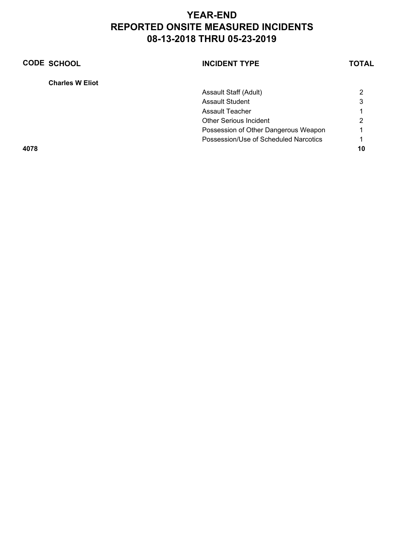| <b>CODE SCHOOL</b>     | <b>INCIDENT TYPE</b>                  | <b>TOTAL</b> |
|------------------------|---------------------------------------|--------------|
| <b>Charles W Eliot</b> |                                       |              |
|                        | Assault Staff (Adult)                 | 2            |
|                        | <b>Assault Student</b>                | 3            |
|                        | Assault Teacher                       |              |
|                        | <b>Other Serious Incident</b>         | 2            |
|                        | Possession of Other Dangerous Weapon  |              |
|                        | Possession/Use of Scheduled Narcotics |              |
| 4078                   |                                       | 10           |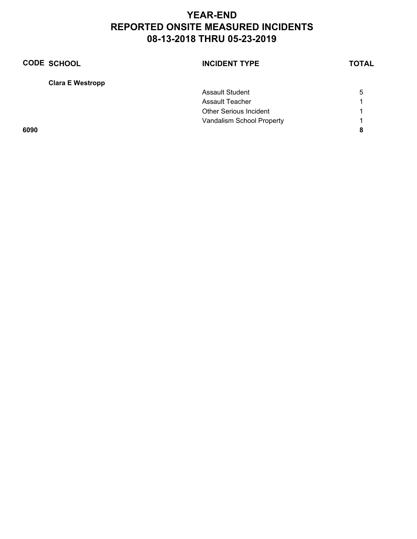| <b>CODE SCHOOL</b>      | <b>INCIDENT TYPE</b>          | <b>TOTAL</b> |
|-------------------------|-------------------------------|--------------|
| <b>Clara E Westropp</b> |                               |              |
|                         | <b>Assault Student</b>        | 5            |
|                         | <b>Assault Teacher</b>        |              |
|                         | <b>Other Serious Incident</b> |              |
|                         | Vandalism School Property     |              |
| 6090                    |                               | 8            |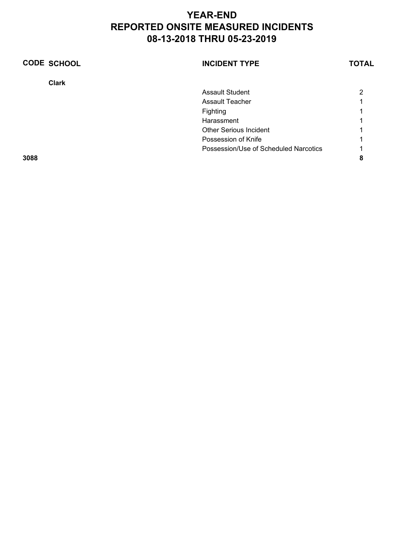| <b>CODE SCHOOL</b> | <b>INCIDENT TYPE</b>                  | <b>TOTAL</b> |
|--------------------|---------------------------------------|--------------|
| <b>Clark</b>       |                                       |              |
|                    | <b>Assault Student</b>                | າ            |
|                    | Assault Teacher                       |              |
|                    | Fighting                              |              |
|                    | Harassment                            |              |
|                    | <b>Other Serious Incident</b>         |              |
|                    | Possession of Knife                   |              |
|                    | Possession/Use of Scheduled Narcotics |              |
| 3088               |                                       |              |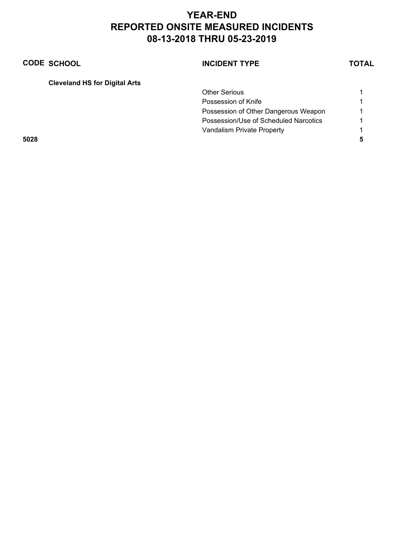| <b>CODE SCHOOL</b>                   | <b>INCIDENT TYPE</b>                  | <b>TOTAL</b> |
|--------------------------------------|---------------------------------------|--------------|
| <b>Cleveland HS for Digital Arts</b> |                                       |              |
|                                      | <b>Other Serious</b>                  |              |
|                                      | Possession of Knife                   |              |
|                                      | Possession of Other Dangerous Weapon  | -1           |
|                                      | Possession/Use of Scheduled Narcotics |              |
|                                      | Vandalism Private Property            |              |

**5028 5**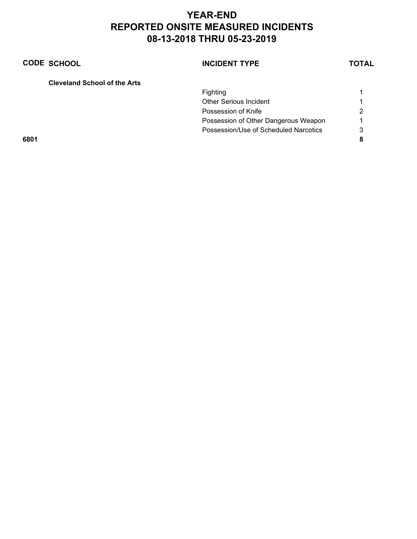| <b>CODE SCHOOL</b> | <b>INCIDENT TYPE</b> | <b>TOTAL</b> |
|--------------------|----------------------|--------------|
|                    |                      |              |

| <b>Cleveland School of the Arts</b> |  |
|-------------------------------------|--|
|-------------------------------------|--|

|      | <b>Fighting</b>                       |   |
|------|---------------------------------------|---|
|      | <b>Other Serious Incident</b>         |   |
|      | Possession of Knife                   | 2 |
|      | Possession of Other Dangerous Weapon  |   |
|      | Possession/Use of Scheduled Narcotics | 3 |
| 6801 |                                       | 8 |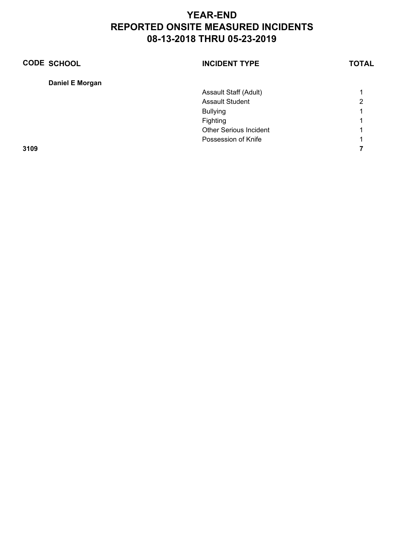| <b>CODE SCHOOL</b> | <b>INCIDENT TYPE</b>          | <b>TOTAL</b> |
|--------------------|-------------------------------|--------------|
| Daniel E Morgan    |                               |              |
|                    | Assault Staff (Adult)         |              |
|                    | <b>Assault Student</b>        | າ            |
|                    | <b>Bullying</b>               |              |
|                    | Fighting                      |              |
|                    | <b>Other Serious Incident</b> |              |
|                    | Possession of Knife           |              |
| 3109               |                               |              |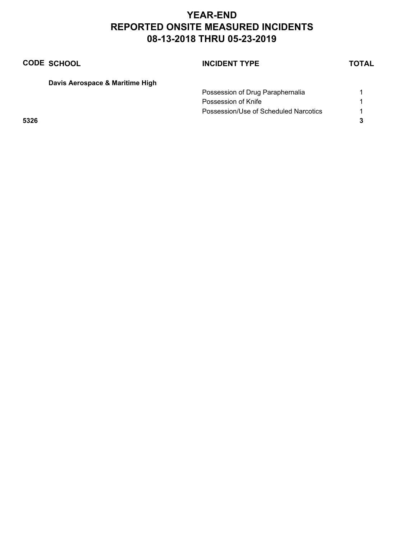| <b>CODE SCHOOL</b>              | <b>INCIDENT TYPE</b>                  | TOTAL |
|---------------------------------|---------------------------------------|-------|
| Davis Aerospace & Maritime High |                                       |       |
|                                 | Possession of Drug Paraphernalia      |       |
|                                 | Possession of Knife                   |       |
|                                 | Possession/Use of Scheduled Narcotics |       |
|                                 |                                       |       |
|                                 |                                       |       |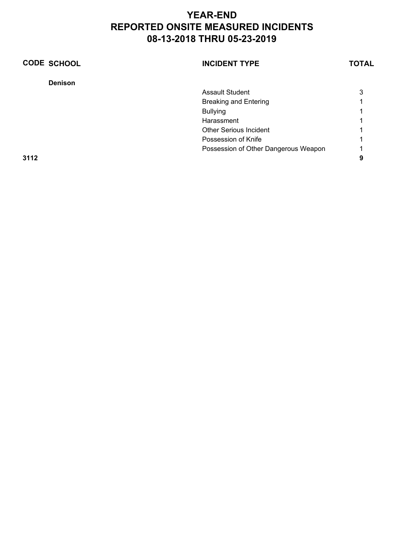| <b>CODE SCHOOL</b> | <b>INCIDENT TYPE</b>                 | <b>TOTAL</b> |
|--------------------|--------------------------------------|--------------|
| <b>Denison</b>     |                                      |              |
|                    | <b>Assault Student</b>               | 3            |
|                    | <b>Breaking and Entering</b>         |              |
|                    | <b>Bullying</b>                      |              |
|                    | Harassment                           |              |
|                    | <b>Other Serious Incident</b>        |              |
|                    | Possession of Knife                  |              |
|                    | Possession of Other Dangerous Weapon |              |
| 3112               |                                      | 9            |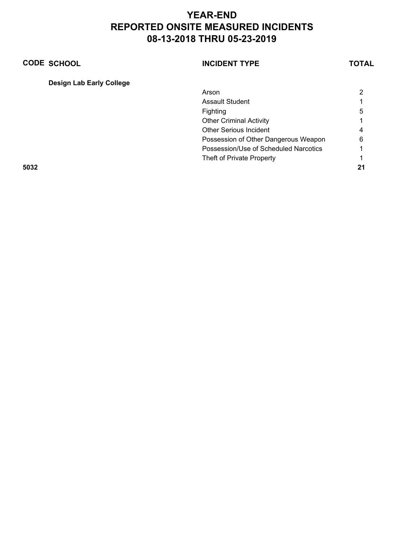|      | <b>CODE SCHOOL</b>              | <b>INCIDENT TYPE</b>                  | TOTAL |
|------|---------------------------------|---------------------------------------|-------|
|      | <b>Design Lab Early College</b> |                                       |       |
|      |                                 | Arson                                 | 2     |
|      |                                 | <b>Assault Student</b>                |       |
|      |                                 | Fighting                              | 5     |
|      |                                 | <b>Other Criminal Activity</b>        |       |
|      |                                 | Other Serious Incident                | 4     |
|      |                                 | Possession of Other Dangerous Weapon  | 6     |
|      |                                 | Possession/Use of Scheduled Narcotics |       |
|      |                                 | Theft of Private Property             |       |
| 5032 |                                 |                                       | 21    |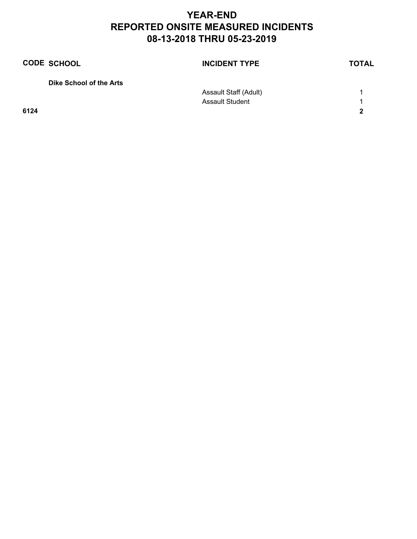| <b>CODE SCHOOL</b>      | <b>INCIDENT TYPE</b>   | <b>TOTAL</b> |
|-------------------------|------------------------|--------------|
| Dike School of the Arts |                        |              |
|                         | Assault Staff (Adult)  |              |
|                         | <b>Assault Student</b> |              |
| 6124                    |                        | າ            |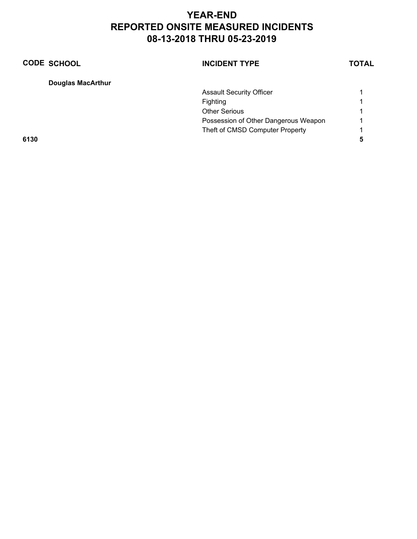|      | <b>CODE SCHOOL</b>       | <b>INCIDENT TYPE</b>                 | TOTAL |
|------|--------------------------|--------------------------------------|-------|
|      | <b>Douglas MacArthur</b> |                                      |       |
|      |                          | <b>Assault Security Officer</b>      |       |
|      |                          | Fighting                             | 1     |
|      |                          | <b>Other Serious</b>                 | 1     |
|      |                          | Possession of Other Dangerous Weapon | 1     |
|      |                          | Theft of CMSD Computer Property      | 1     |
| 6130 |                          |                                      | 5     |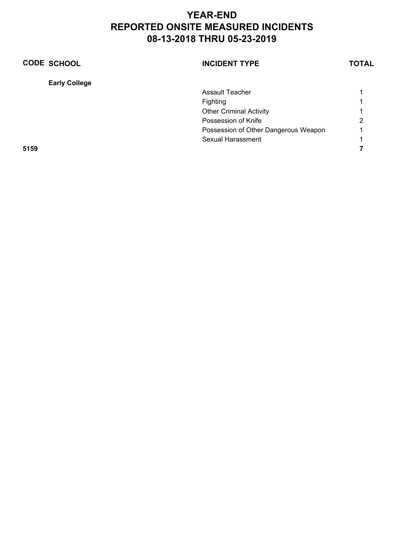| <b>CODE SCHOOL</b>   | <b>INCIDENT TYPE</b>                 | <b>TOTAL</b> |
|----------------------|--------------------------------------|--------------|
| <b>Early College</b> |                                      |              |
|                      | Assault Teacher                      |              |
|                      | Fighting                             |              |
|                      | <b>Other Criminal Activity</b>       |              |
|                      | Possession of Knife                  | 2            |
|                      | Possession of Other Dangerous Weapon |              |
|                      | Sexual Harassment                    |              |
| 5159                 |                                      |              |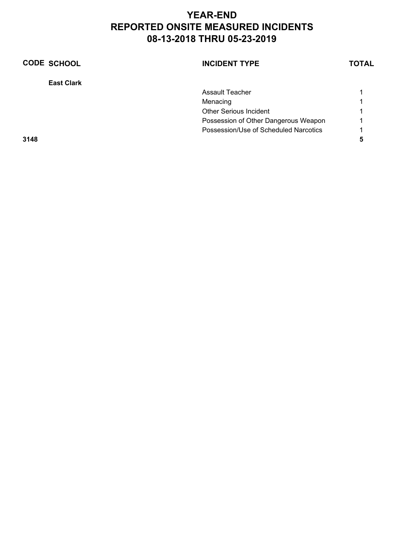| <b>CODE SCHOOL</b> | <b>INCIDENT TYPE</b>                  | <b>TOTAL</b> |
|--------------------|---------------------------------------|--------------|
| <b>East Clark</b>  |                                       |              |
|                    | Assault Teacher                       |              |
|                    | Menacing                              |              |
|                    | <b>Other Serious Incident</b>         |              |
|                    | Possession of Other Dangerous Weapon  |              |
|                    | Possession/Use of Scheduled Narcotics |              |
| 3148               |                                       |              |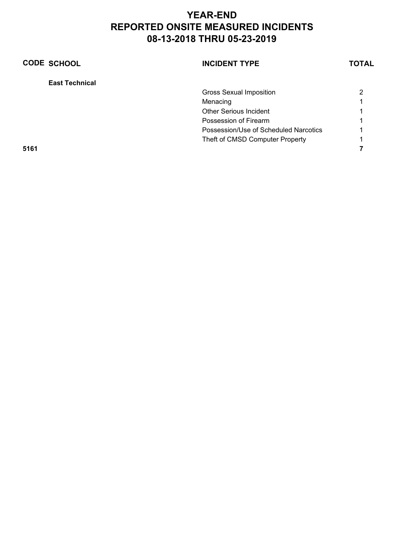| <b>CODE SCHOOL</b>    | <b>INCIDENT TYPE</b>                  | <b>TOTAL</b> |
|-----------------------|---------------------------------------|--------------|
| <b>East Technical</b> |                                       |              |
|                       | <b>Gross Sexual Imposition</b>        | 2            |
|                       | Menacing                              |              |
|                       | <b>Other Serious Incident</b>         |              |
|                       | Possession of Firearm                 |              |
|                       | Possession/Use of Scheduled Narcotics |              |
|                       | Theft of CMSD Computer Property       |              |
| 5161                  |                                       |              |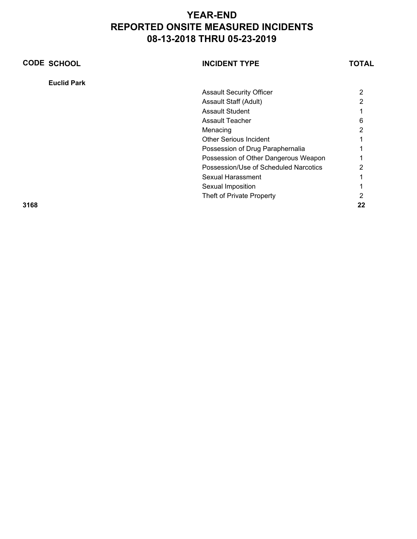| <b>CODE SCHOOL</b> | <b>INCIDENT TYPE</b>                  | TOTAL |
|--------------------|---------------------------------------|-------|
| <b>Euclid Park</b> |                                       |       |
|                    | <b>Assault Security Officer</b>       | 2     |
|                    | Assault Staff (Adult)                 | 2     |
|                    | <b>Assault Student</b>                |       |
|                    | <b>Assault Teacher</b>                | հ     |
|                    | Menacing                              |       |
|                    | <b>Other Serious Incident</b>         |       |
|                    | Possession of Drug Paraphernalia      |       |
|                    | Possession of Other Dangerous Weapon  |       |
|                    | Possession/Use of Scheduled Narcotics |       |
|                    | Sexual Harassment                     |       |
|                    | Sexual Imposition                     |       |
|                    | Theft of Private Property             |       |
| 3168               |                                       |       |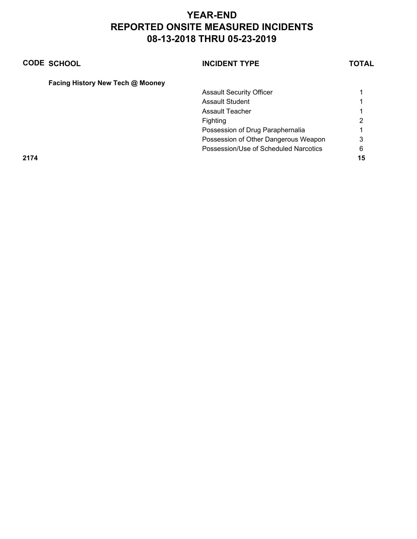|      | <b>CODE SCHOOL</b>               | <b>INCIDENT TYPE</b>                  | <b>TOTAL</b> |
|------|----------------------------------|---------------------------------------|--------------|
|      | Facing History New Tech @ Mooney |                                       |              |
|      |                                  | <b>Assault Security Officer</b>       |              |
|      |                                  | <b>Assault Student</b>                |              |
|      |                                  | Assault Teacher                       |              |
|      |                                  | Fighting                              | າ            |
|      |                                  | Possession of Drug Paraphernalia      |              |
|      |                                  | Possession of Other Dangerous Weapon  | 3            |
|      |                                  | Possession/Use of Scheduled Narcotics | 6            |
| 2174 |                                  |                                       | 15           |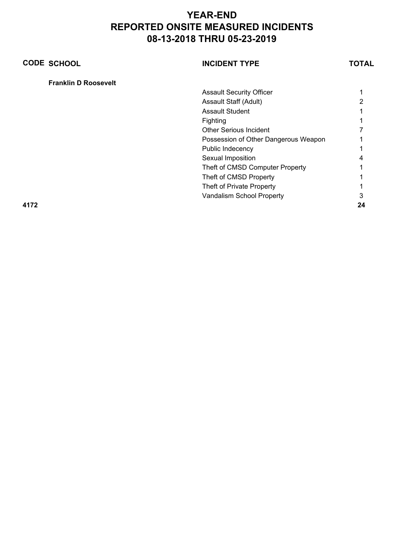| <b>CODE SCHOOL</b>          | <b>INCIDENT TYPE</b>                 | TOTAL |
|-----------------------------|--------------------------------------|-------|
| <b>Franklin D Roosevelt</b> |                                      |       |
|                             | <b>Assault Security Officer</b>      |       |
|                             | Assault Staff (Adult)                |       |
|                             | <b>Assault Student</b>               |       |
|                             | Fighting                             |       |
|                             | <b>Other Serious Incident</b>        |       |
|                             | Possession of Other Dangerous Weapon |       |
|                             | Public Indecency                     |       |
|                             | Sexual Imposition                    |       |
|                             | Theft of CMSD Computer Property      |       |
|                             | Theft of CMSD Property               |       |
|                             | Theft of Private Property            |       |
|                             | Vandalism School Property            | 3     |
| 4172                        |                                      | 24    |
|                             |                                      |       |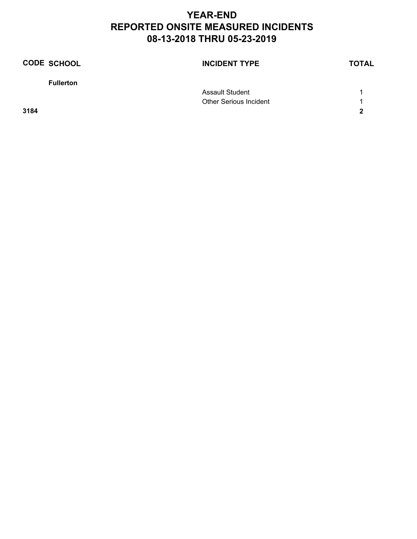| <b>CODE SCHOOL</b> | <b>INCIDENT TYPE</b>          | <b>TOTAL</b> |
|--------------------|-------------------------------|--------------|
| <b>Fullerton</b>   |                               |              |
|                    | <b>Assault Student</b>        |              |
|                    | <b>Other Serious Incident</b> |              |
| 3184               |                               | $\mathbf{z}$ |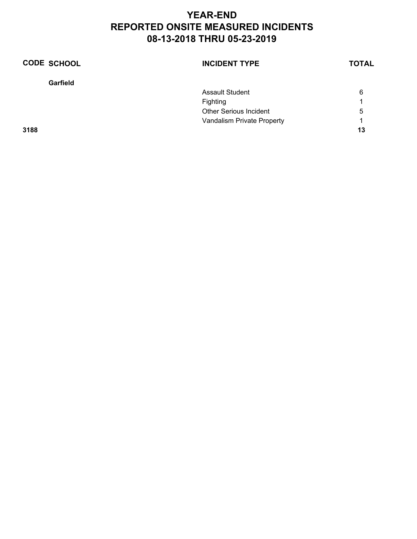| <b>CODE SCHOOL</b> | <b>INCIDENT TYPE</b>          | <b>TOTAL</b> |
|--------------------|-------------------------------|--------------|
| Garfield           |                               |              |
|                    | <b>Assault Student</b>        | 6            |
|                    | Fighting                      | 1            |
|                    | <b>Other Serious Incident</b> | 5            |
|                    | Vandalism Private Property    | 1            |
| 3188               |                               | 13           |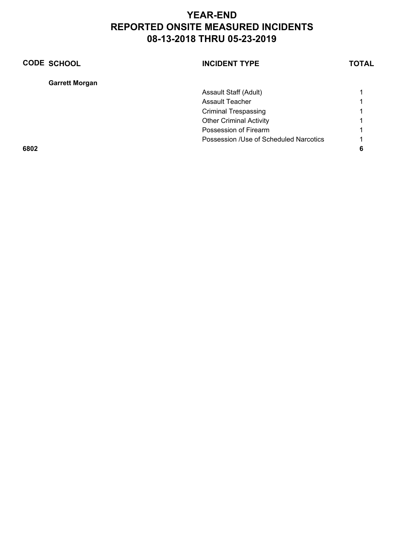| <b>CODE SCHOOL</b>    | <b>INCIDENT TYPE</b>                   | <b>TOTAL</b> |
|-----------------------|----------------------------------------|--------------|
| <b>Garrett Morgan</b> |                                        |              |
|                       | Assault Staff (Adult)                  |              |
|                       | <b>Assault Teacher</b>                 |              |
|                       | <b>Criminal Trespassing</b>            |              |
|                       | <b>Other Criminal Activity</b>         |              |
|                       | Possession of Firearm                  |              |
|                       | Possession /Use of Scheduled Narcotics |              |
| 6802                  |                                        |              |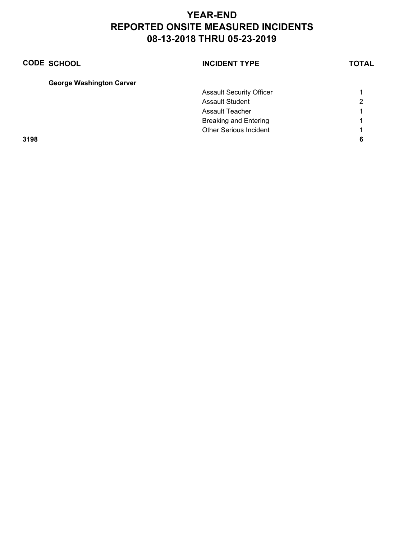| <b>CODE SCHOOL</b>              | <b>INCIDENT TYPE</b>            | <b>TOTAL</b> |
|---------------------------------|---------------------------------|--------------|
| <b>George Washington Carver</b> |                                 |              |
|                                 | <b>Assault Security Officer</b> |              |
|                                 | <b>Assault Student</b>          | 2            |
|                                 | Assault Teacher                 |              |
|                                 | <b>Breaking and Entering</b>    | л            |
|                                 | <b>Other Serious Incident</b>   | ◢            |
| 3198                            |                                 | 6            |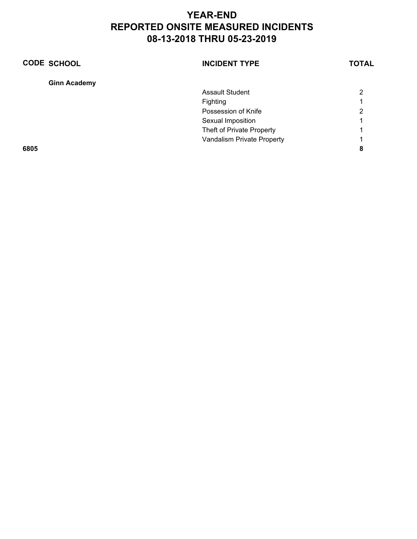| <b>CODE SCHOOL</b>  | <b>INCIDENT TYPE</b>       | <b>TOTAL</b> |
|---------------------|----------------------------|--------------|
| <b>Ginn Academy</b> |                            |              |
|                     | <b>Assault Student</b>     | 2            |
|                     | Fighting                   |              |
|                     | Possession of Knife        | 2            |
|                     | Sexual Imposition          |              |
|                     | Theft of Private Property  |              |
|                     | Vandalism Private Property |              |
| 6805                |                            | 8            |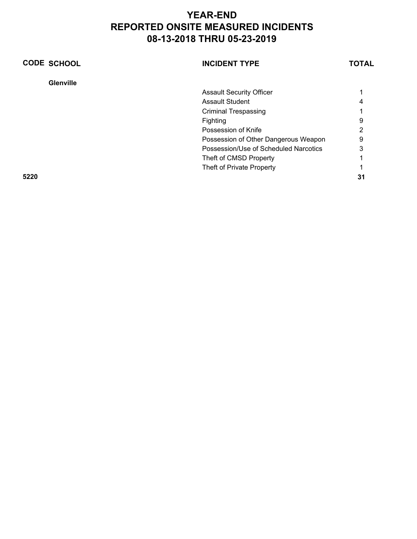| <b>CODE SCHOOL</b> | <b>INCIDENT TYPE</b>                  | <b>TOTAL</b> |
|--------------------|---------------------------------------|--------------|
| <b>Glenville</b>   |                                       |              |
|                    | <b>Assault Security Officer</b>       |              |
|                    | <b>Assault Student</b>                |              |
|                    | <b>Criminal Trespassing</b>           |              |
|                    | Fighting                              | 9            |
|                    | Possession of Knife                   | 2            |
|                    | Possession of Other Dangerous Weapon  | 9            |
|                    | Possession/Use of Scheduled Narcotics | 3            |
|                    | Theft of CMSD Property                |              |
|                    | Theft of Private Property             |              |
| 5220               |                                       | 31           |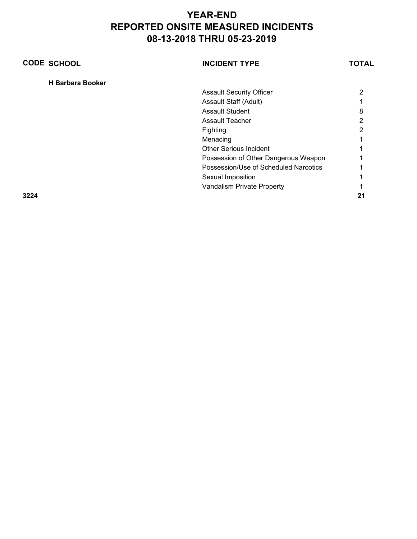| <b>CODE SCHOOL</b>      | <b>INCIDENT TYPE</b>                  | TOTAL |
|-------------------------|---------------------------------------|-------|
| <b>H</b> Barbara Booker |                                       |       |
|                         | <b>Assault Security Officer</b>       | 2     |
|                         | Assault Staff (Adult)                 |       |
|                         | <b>Assault Student</b>                | 8     |
|                         | <b>Assault Teacher</b>                | 2     |
|                         | Fighting                              | っ     |
|                         | Menacing                              |       |
|                         | <b>Other Serious Incident</b>         |       |
|                         | Possession of Other Dangerous Weapon  |       |
|                         | Possession/Use of Scheduled Narcotics |       |
|                         | Sexual Imposition                     |       |
|                         | Vandalism Private Property            |       |
| 3224                    |                                       | 21    |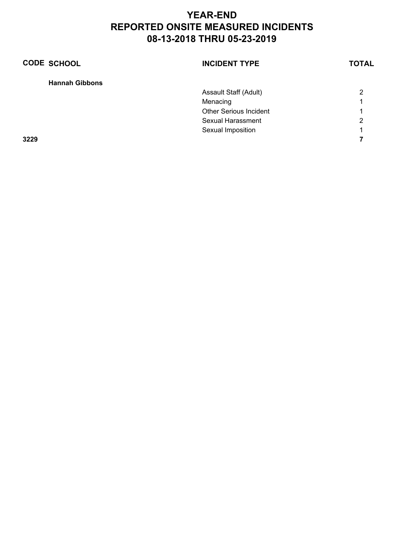| <b>CODE SCHOOL</b>    | <b>INCIDENT TYPE</b>          | <b>TOTAL</b> |
|-----------------------|-------------------------------|--------------|
| <b>Hannah Gibbons</b> |                               |              |
|                       | Assault Staff (Adult)         | 2            |
|                       | Menacing                      | 1            |
|                       | <b>Other Serious Incident</b> | 1            |
|                       | Sexual Harassment             | 2            |
|                       | Sexual Imposition             | 1            |
| 3229                  |                               |              |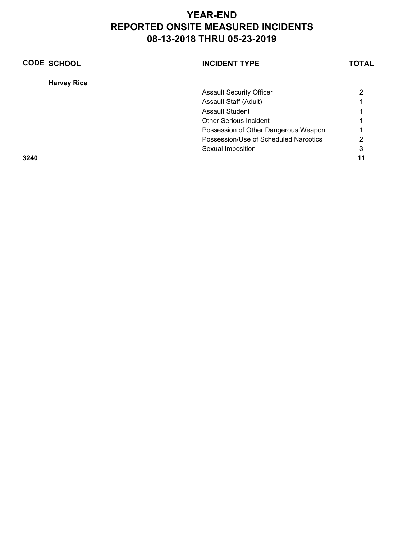| <b>CODE SCHOOL</b> | <b>INCIDENT TYPE</b>                  | <b>TOTAL</b> |
|--------------------|---------------------------------------|--------------|
| <b>Harvey Rice</b> |                                       |              |
|                    | <b>Assault Security Officer</b>       |              |
|                    | Assault Staff (Adult)                 |              |
|                    | <b>Assault Student</b>                |              |
|                    | <b>Other Serious Incident</b>         |              |
|                    | Possession of Other Dangerous Weapon  |              |
|                    | Possession/Use of Scheduled Narcotics | 2            |
|                    | Sexual Imposition                     | 3            |
| 3240               |                                       |              |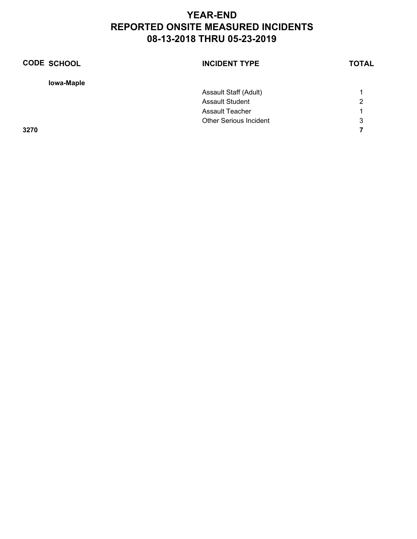| <b>CODE SCHOOL</b> | <b>INCIDENT TYPE</b>          | <b>TOTAL</b> |
|--------------------|-------------------------------|--------------|
| lowa-Maple         |                               |              |
|                    | Assault Staff (Adult)         |              |
|                    | <b>Assault Student</b>        | 2            |
|                    | <b>Assault Teacher</b>        |              |
|                    | <b>Other Serious Incident</b> | 3            |
| 3270               |                               |              |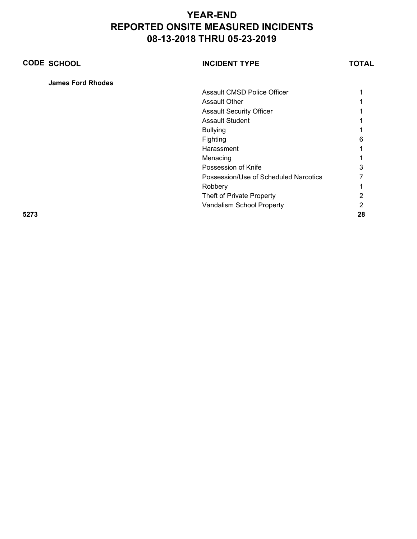| <b>CODE SCHOOL</b>       | <b>INCIDENT TYPE</b>                  | TOTAL |
|--------------------------|---------------------------------------|-------|
| <b>James Ford Rhodes</b> |                                       |       |
|                          | <b>Assault CMSD Police Officer</b>    |       |
|                          | <b>Assault Other</b>                  |       |
|                          | <b>Assault Security Officer</b>       |       |
|                          | <b>Assault Student</b>                |       |
|                          | <b>Bullying</b>                       |       |
|                          | Fighting                              | 6     |
|                          | Harassment                            |       |
|                          | Menacing                              |       |
|                          | Possession of Knife                   |       |
|                          | Possession/Use of Scheduled Narcotics |       |
|                          | Robbery                               |       |
|                          | Theft of Private Property             |       |
|                          | Vandalism School Property             | 2     |
| 5273                     |                                       | 28    |
|                          |                                       |       |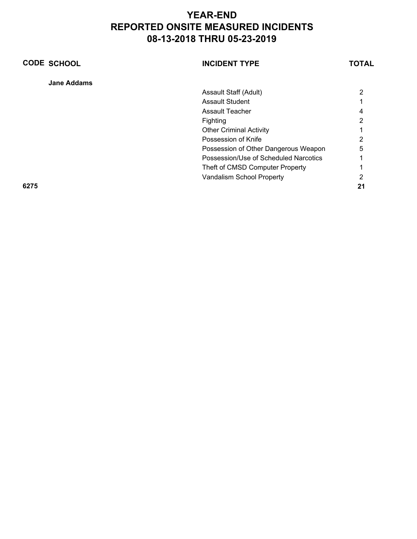| <b>CODE SCHOOL</b> | <b>INCIDENT TYPE</b>                  | TOTAL |
|--------------------|---------------------------------------|-------|
| <b>Jane Addams</b> |                                       |       |
|                    | Assault Staff (Adult)                 | 2     |
|                    | <b>Assault Student</b>                |       |
|                    | <b>Assault Teacher</b>                |       |
|                    | Fighting                              | າ     |
|                    | <b>Other Criminal Activity</b>        |       |
|                    | Possession of Knife                   | 2     |
|                    | Possession of Other Dangerous Weapon  | 5     |
|                    | Possession/Use of Scheduled Narcotics |       |
|                    | Theft of CMSD Computer Property       |       |
|                    | Vandalism School Property             |       |
| 6275               |                                       |       |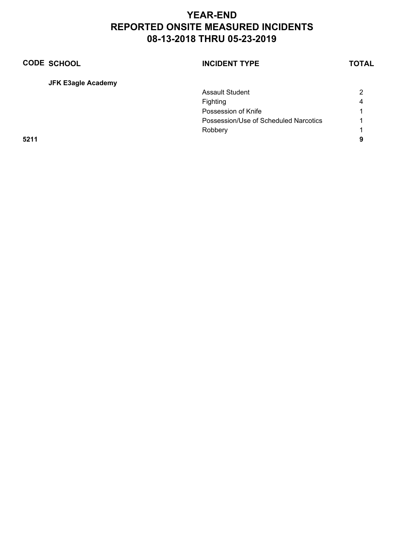| <b>CODE SCHOOL</b>        | <b>INCIDENT TYPE</b>                  | <b>TOTAL</b> |
|---------------------------|---------------------------------------|--------------|
| <b>JFK E3agle Academy</b> |                                       |              |
|                           | <b>Assault Student</b>                | 2            |
|                           | Fighting                              | 4            |
|                           | Possession of Knife                   |              |
|                           | Possession/Use of Scheduled Narcotics |              |
|                           | Robbery                               |              |
| 5211                      |                                       | 9            |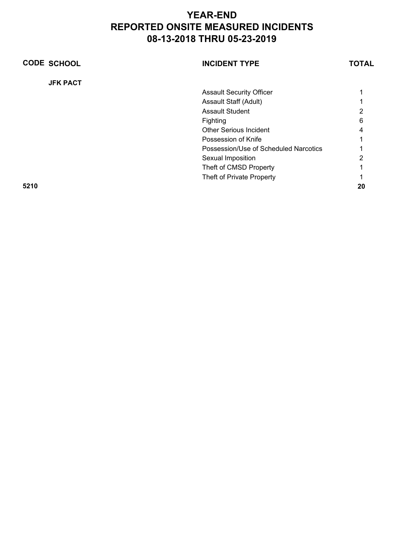| <b>CODE SCHOOL</b> | <b>INCIDENT TYPE</b>                  | TOTAL |
|--------------------|---------------------------------------|-------|
| <b>JFK PACT</b>    |                                       |       |
|                    | <b>Assault Security Officer</b>       |       |
|                    | Assault Staff (Adult)                 |       |
|                    | <b>Assault Student</b>                | 2     |
|                    | Fighting                              | 6     |
|                    | <b>Other Serious Incident</b>         |       |
|                    | Possession of Knife                   |       |
|                    | Possession/Use of Scheduled Narcotics |       |
|                    | Sexual Imposition                     | っ     |
|                    | Theft of CMSD Property                |       |
|                    | Theft of Private Property             |       |
| 5210               |                                       | 20    |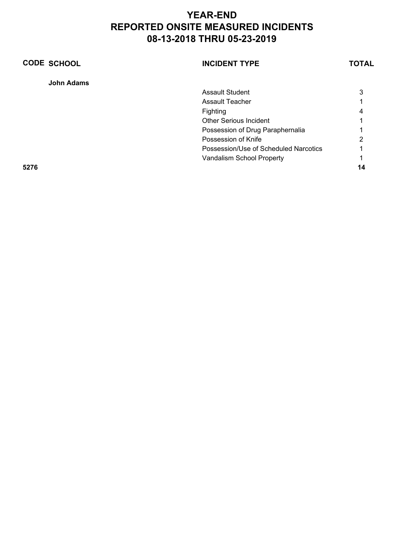| <b>CODE SCHOOL</b> | <b>INCIDENT TYPE</b>                  | TOTAL |
|--------------------|---------------------------------------|-------|
| <b>John Adams</b>  |                                       |       |
|                    | <b>Assault Student</b>                | 3     |
|                    | Assault Teacher                       |       |
|                    | Fighting                              | 4     |
|                    | Other Serious Incident                |       |
|                    | Possession of Drug Paraphernalia      |       |
|                    | Possession of Knife                   | າ     |
|                    | Possession/Use of Scheduled Narcotics |       |
|                    | Vandalism School Property             |       |
| 5276               |                                       | 14    |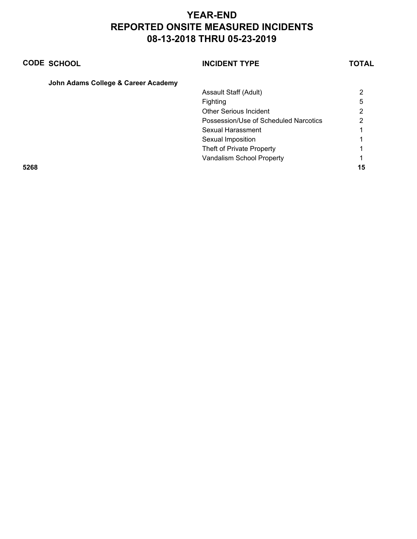|      | <b>CODE SCHOOL</b>                  | <b>INCIDENT TYPE</b>                  | TOTAL |
|------|-------------------------------------|---------------------------------------|-------|
|      | John Adams College & Career Academy |                                       |       |
|      |                                     | Assault Staff (Adult)                 | 2     |
|      |                                     | <b>Fighting</b>                       | 5     |
|      |                                     | <b>Other Serious Incident</b>         | 2     |
|      |                                     | Possession/Use of Scheduled Narcotics | າ     |
|      |                                     | Sexual Harassment                     |       |
|      |                                     | Sexual Imposition                     |       |
|      |                                     | Theft of Private Property             |       |
|      |                                     | Vandalism School Property             |       |
| 5268 |                                     |                                       | 15    |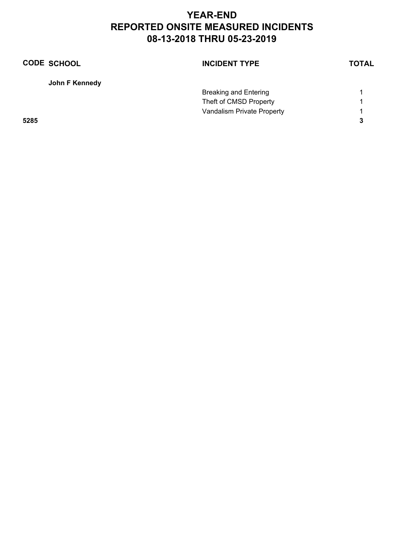| <b>CODE SCHOOL</b> | <b>INCIDENT TYPE</b>       | <b>TOTAL</b> |
|--------------------|----------------------------|--------------|
| John F Kennedy     |                            |              |
|                    | Breaking and Entering      |              |
|                    | Theft of CMSD Property     |              |
|                    | Vandalism Private Property | 1            |
| 5285               |                            | 3            |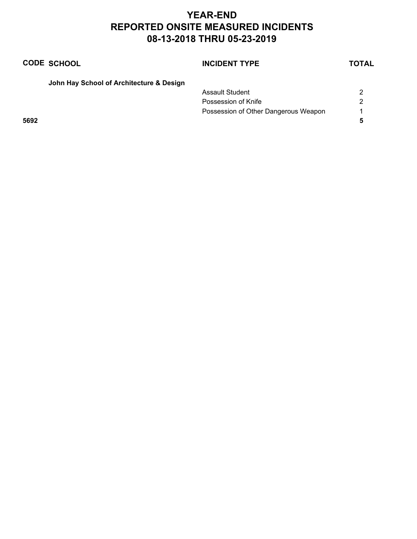|      | <b>CODE SCHOOL</b>                       | <b>INCIDENT TYPE</b>                 | <b>TOTAL</b> |
|------|------------------------------------------|--------------------------------------|--------------|
|      | John Hay School of Architecture & Design |                                      |              |
|      |                                          | <b>Assault Student</b>               | 2            |
|      |                                          | Possession of Knife                  | 2            |
|      |                                          | Possession of Other Dangerous Weapon |              |
| 5692 |                                          |                                      |              |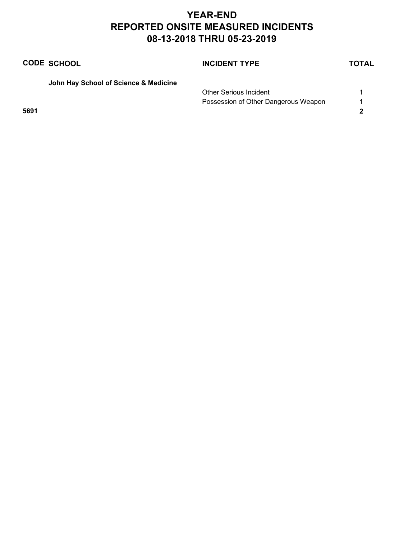|      | <b>CODE SCHOOL</b>                    | <b>INCIDENT TYPE</b>                 | <b>TOTAL</b> |
|------|---------------------------------------|--------------------------------------|--------------|
|      | John Hay School of Science & Medicine |                                      |              |
|      |                                       | <b>Other Serious Incident</b>        |              |
|      |                                       | Possession of Other Dangerous Weapon |              |
| 5691 |                                       |                                      |              |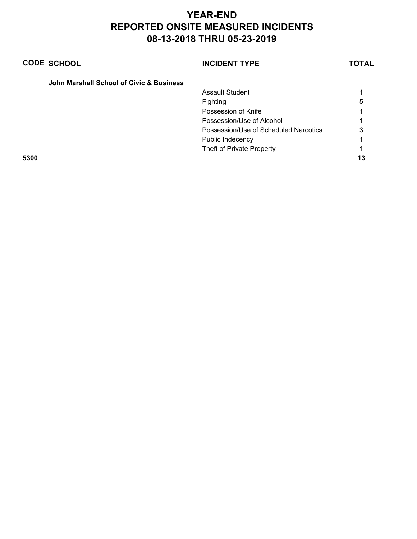|      | <b>CODE SCHOOL</b>                       | <b>INCIDENT TYPE</b>                  | TOTAL |
|------|------------------------------------------|---------------------------------------|-------|
|      | John Marshall School of Civic & Business |                                       |       |
|      |                                          | Assault Student                       |       |
|      |                                          | Fighting                              | 5     |
|      |                                          | Possession of Knife                   |       |
|      |                                          | Possession/Use of Alcohol             |       |
|      |                                          | Possession/Use of Scheduled Narcotics | 3     |
|      |                                          | Public Indecency                      |       |
|      |                                          | Theft of Private Property             |       |
| 5300 |                                          |                                       | 13    |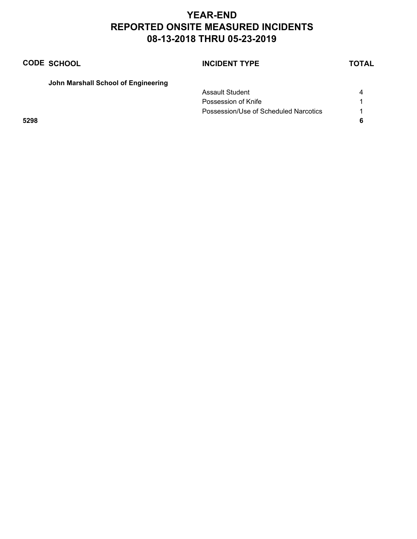|      | <b>CODE SCHOOL</b>                  | <b>INCIDENT TYPE</b>                  | <b>TOTAL</b> |
|------|-------------------------------------|---------------------------------------|--------------|
|      | John Marshall School of Engineering |                                       |              |
|      |                                     | Assault Student                       | 4            |
|      |                                     | Possession of Knife                   |              |
|      |                                     | Possession/Use of Scheduled Narcotics |              |
| 5298 |                                     |                                       |              |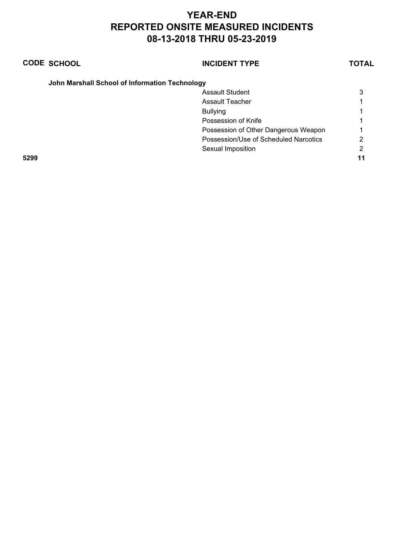|      | <b>CODE SCHOOL</b>                             | <b>INCIDENT TYPE</b>                  | TOTAL |
|------|------------------------------------------------|---------------------------------------|-------|
|      | John Marshall School of Information Technology |                                       |       |
|      |                                                | <b>Assault Student</b>                | 3     |
|      |                                                | Assault Teacher                       |       |
|      |                                                | <b>Bullying</b>                       |       |
|      |                                                | Possession of Knife                   |       |
|      |                                                | Possession of Other Dangerous Weapon  |       |
|      |                                                | Possession/Use of Scheduled Narcotics |       |
|      |                                                | Sexual Imposition                     | 2     |
| 5299 |                                                |                                       | 11    |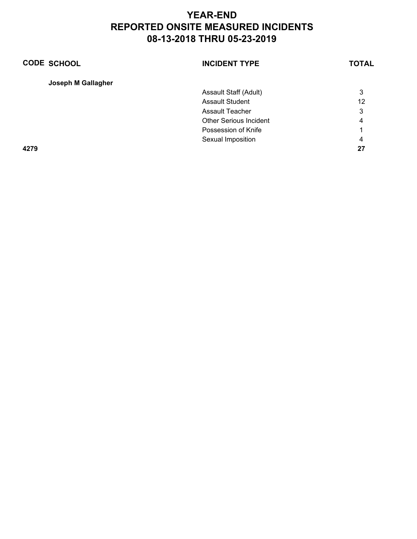| <b>CODE SCHOOL</b> | <b>INCIDENT TYPE</b>          | <b>TOTAL</b> |
|--------------------|-------------------------------|--------------|
| Joseph M Gallagher |                               |              |
|                    | Assault Staff (Adult)         | 3            |
|                    | <b>Assault Student</b>        | 12           |
|                    | Assault Teacher               | 3            |
|                    | <b>Other Serious Incident</b> | 4            |
|                    | Possession of Knife           |              |
|                    | Sexual Imposition             | 4            |
| 4279               |                               | 27           |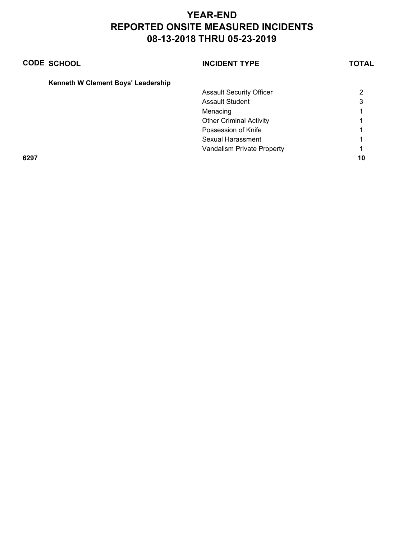|      | <b>CODE SCHOOL</b>                 | <b>INCIDENT TYPE</b>            | TOTAL |
|------|------------------------------------|---------------------------------|-------|
|      | Kenneth W Clement Boys' Leadership |                                 |       |
|      |                                    | <b>Assault Security Officer</b> | າ     |
|      |                                    | Assault Student                 | 3     |
|      |                                    | Menacing                        |       |
|      |                                    | <b>Other Criminal Activity</b>  |       |
|      |                                    | Possession of Knife             |       |
|      |                                    | Sexual Harassment               |       |
|      |                                    | Vandalism Private Property      |       |
| 6297 |                                    |                                 | 10    |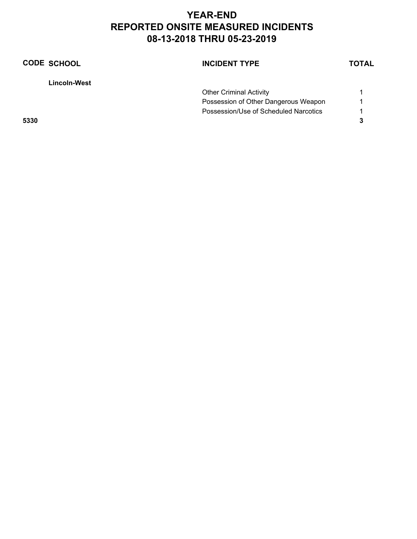| <b>CODE SCHOOL</b> | <b>INCIDENT TYPE</b>                  | <b>TOTAL</b> |
|--------------------|---------------------------------------|--------------|
| Lincoln-West       |                                       |              |
|                    | <b>Other Criminal Activity</b>        |              |
|                    | Possession of Other Dangerous Weapon  |              |
|                    | Possession/Use of Scheduled Narcotics |              |
| 5330               |                                       | 3            |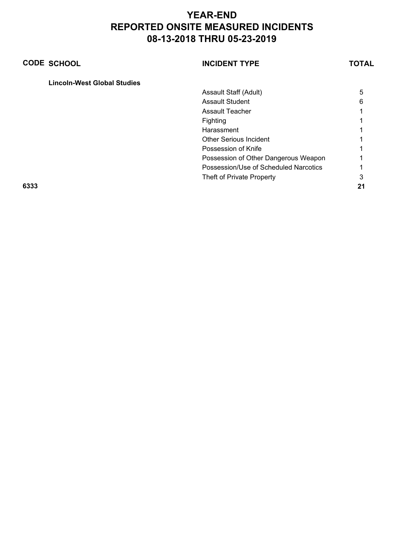| <b>CODE SCHOOL</b>                 | <b>INCIDENT TYPE</b>                  | <b>TOTAL</b> |
|------------------------------------|---------------------------------------|--------------|
| <b>Lincoln-West Global Studies</b> |                                       |              |
|                                    | Assault Staff (Adult)                 | 5            |
|                                    | <b>Assault Student</b>                | 6            |
|                                    | <b>Assault Teacher</b>                |              |
|                                    | Fighting                              |              |
|                                    | Harassment                            |              |
|                                    | <b>Other Serious Incident</b>         |              |
|                                    | Possession of Knife                   |              |
|                                    | Possession of Other Dangerous Weapon  |              |
|                                    | Possession/Use of Scheduled Narcotics |              |
|                                    | Theft of Private Property             | 3            |
| 6333                               |                                       |              |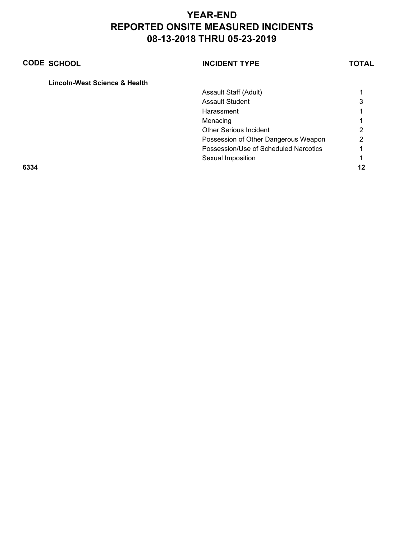| <b>CODE SCHOOL</b> |                               | <b>INCIDENT TYPE</b>                  | TOTAL |
|--------------------|-------------------------------|---------------------------------------|-------|
|                    | Lincoln-West Science & Health |                                       |       |
|                    |                               | Assault Staff (Adult)                 |       |
|                    |                               | <b>Assault Student</b>                | 3     |
|                    |                               | Harassment                            |       |
|                    |                               | Menacing                              |       |
|                    |                               | Other Serious Incident                | ົ     |
|                    |                               | Possession of Other Dangerous Weapon  | 2     |
|                    |                               | Possession/Use of Scheduled Narcotics |       |
|                    |                               | Sexual Imposition                     |       |
| 6334               |                               |                                       |       |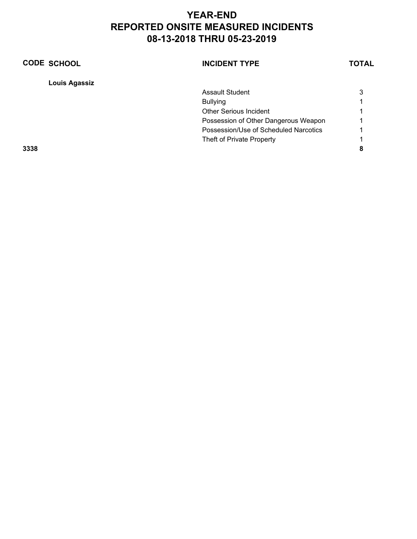| <b>CODE SCHOOL</b>   | <b>INCIDENT TYPE</b>                  | TOTAL |
|----------------------|---------------------------------------|-------|
| <b>Louis Agassiz</b> |                                       |       |
|                      | <b>Assault Student</b>                | 3     |
|                      | <b>Bullying</b>                       |       |
|                      | <b>Other Serious Incident</b>         |       |
|                      | Possession of Other Dangerous Weapon  |       |
|                      | Possession/Use of Scheduled Narcotics |       |
|                      | Theft of Private Property             |       |
| 3338                 |                                       | 8     |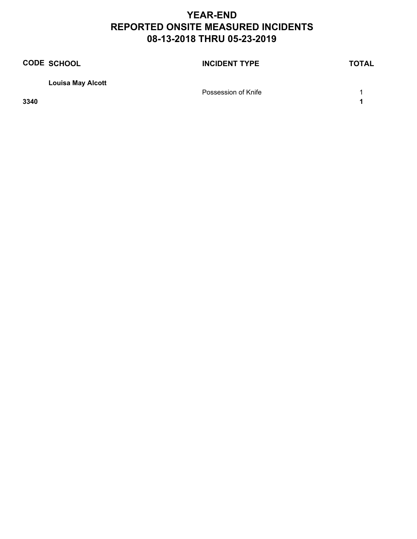|      | <b>CODE SCHOOL</b>       | <b>INCIDENT TYPE</b> | <b>TOTAL</b> |
|------|--------------------------|----------------------|--------------|
|      | <b>Louisa May Alcott</b> |                      |              |
|      |                          | Possession of Knife  |              |
| 3340 |                          |                      |              |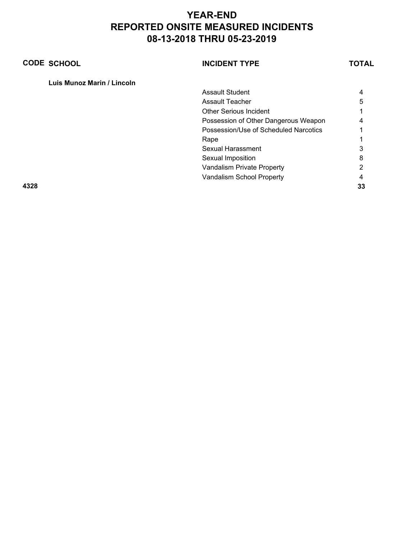| <b>CODE SCHOOL</b>         | <b>INCIDENT TYPE</b>                  | TOTAL |
|----------------------------|---------------------------------------|-------|
| Luis Munoz Marin / Lincoln |                                       |       |
|                            | <b>Assault Student</b>                | 4     |
|                            | <b>Assault Teacher</b>                | 5     |
|                            | <b>Other Serious Incident</b>         |       |
|                            | Possession of Other Dangerous Weapon  | 4     |
|                            | Possession/Use of Scheduled Narcotics |       |
|                            | Rape                                  |       |
|                            | Sexual Harassment                     | 3     |
|                            | Sexual Imposition                     | 8     |
|                            | Vandalism Private Property            | າ     |
|                            | Vandalism School Property             |       |
| 4328                       |                                       | 33    |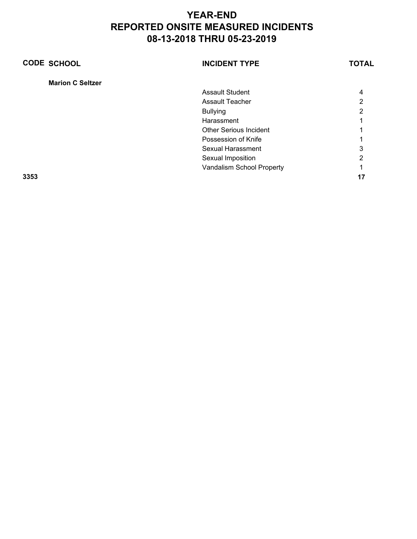| <b>CODE SCHOOL</b>      | <b>INCIDENT TYPE</b>          | <b>TOTAL</b> |
|-------------------------|-------------------------------|--------------|
| <b>Marion C Seltzer</b> |                               |              |
|                         | <b>Assault Student</b>        | 4            |
|                         | Assault Teacher               | っ            |
|                         | <b>Bullying</b>               | 2            |
|                         | Harassment                    |              |
|                         | <b>Other Serious Incident</b> |              |
|                         | Possession of Knife           |              |
|                         | Sexual Harassment             | 3            |
|                         | Sexual Imposition             | າ            |
|                         | Vandalism School Property     |              |
| 3353                    |                               | 17           |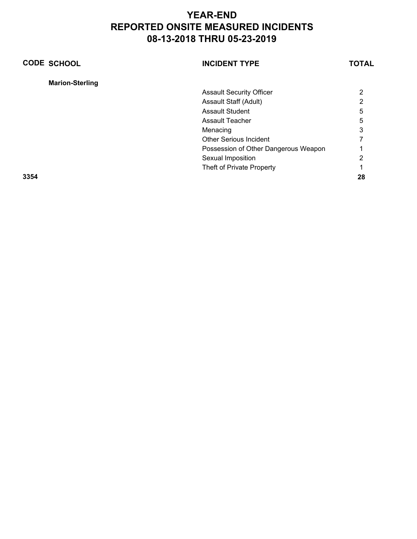| <b>CODE SCHOOL</b>     | <b>INCIDENT TYPE</b>                 | <b>TOTAL</b> |
|------------------------|--------------------------------------|--------------|
| <b>Marion-Sterling</b> |                                      |              |
|                        | <b>Assault Security Officer</b>      | 2            |
|                        | Assault Staff (Adult)                | 2            |
|                        | <b>Assault Student</b>               | 5            |
|                        | <b>Assault Teacher</b>               | 5            |
|                        | Menacing                             | 3            |
|                        | <b>Other Serious Incident</b>        |              |
|                        | Possession of Other Dangerous Weapon |              |
|                        | Sexual Imposition                    | 2            |
|                        | Theft of Private Property            |              |
| 3354                   |                                      | 28           |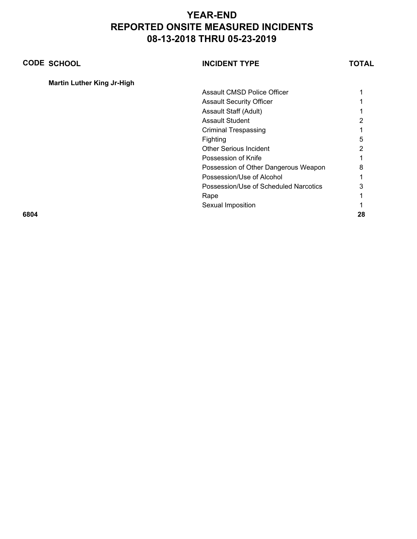| <b>CODE SCHOOL</b>                | <b>INCIDENT TYPE</b>                  | TOTAL |
|-----------------------------------|---------------------------------------|-------|
| <b>Martin Luther King Jr-High</b> |                                       |       |
|                                   | Assault CMSD Police Officer           |       |
|                                   | <b>Assault Security Officer</b>       |       |
|                                   | Assault Staff (Adult)                 |       |
|                                   | <b>Assault Student</b>                | 2     |
|                                   | <b>Criminal Trespassing</b>           |       |
|                                   | Fighting                              | 5     |
|                                   | <b>Other Serious Incident</b>         | 2     |
|                                   | Possession of Knife                   |       |
|                                   | Possession of Other Dangerous Weapon  | 8     |
|                                   | Possession/Use of Alcohol             |       |
|                                   | Possession/Use of Scheduled Narcotics | 3     |
|                                   | Rape                                  |       |
|                                   | Sexual Imposition                     |       |
| 6804                              |                                       | 28    |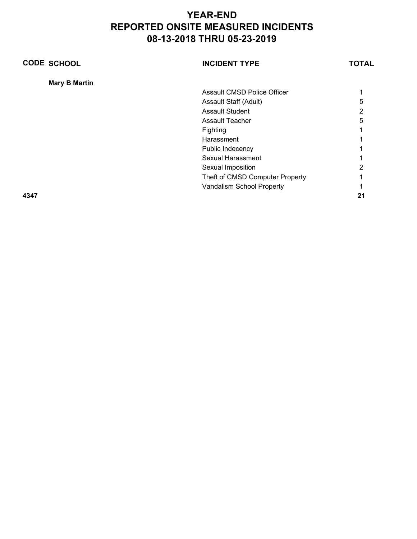| <b>CODE SCHOOL</b>   | <b>INCIDENT TYPE</b>            | TOTAL |
|----------------------|---------------------------------|-------|
| <b>Mary B Martin</b> |                                 |       |
|                      | Assault CMSD Police Officer     |       |
|                      | Assault Staff (Adult)           | 5     |
|                      | <b>Assault Student</b>          | 2     |
|                      | <b>Assault Teacher</b>          | 5     |
|                      | Fighting                        |       |
|                      | Harassment                      |       |
|                      | Public Indecency                |       |
|                      | Sexual Harassment               |       |
|                      | Sexual Imposition               | 2     |
|                      | Theft of CMSD Computer Property |       |
|                      | Vandalism School Property       |       |
| 4347                 |                                 | 21    |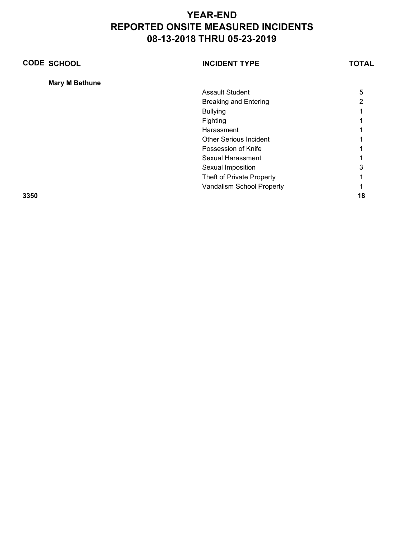| <b>CODE SCHOOL</b>    | <b>INCIDENT TYPE</b>          | TOTAL |
|-----------------------|-------------------------------|-------|
| <b>Mary M Bethune</b> |                               |       |
|                       | <b>Assault Student</b>        | 5     |
|                       | <b>Breaking and Entering</b>  | 2     |
|                       | <b>Bullying</b>               |       |
|                       | Fighting                      |       |
|                       | Harassment                    |       |
|                       | <b>Other Serious Incident</b> |       |
|                       | Possession of Knife           |       |
|                       | Sexual Harassment             |       |
|                       | Sexual Imposition             | 3     |
|                       | Theft of Private Property     |       |
|                       | Vandalism School Property     |       |
| 3350                  |                               | 18    |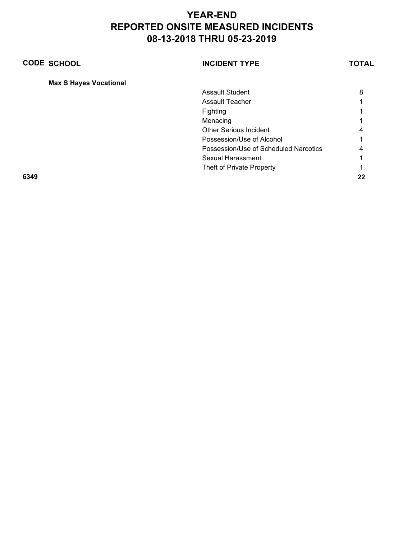| <b>CODE SCHOOL</b>            | <b>INCIDENT TYPE</b>                  | TOTAL |
|-------------------------------|---------------------------------------|-------|
| <b>Max S Hayes Vocational</b> |                                       |       |
|                               | Assault Student                       | 8     |
|                               | Assault Teacher                       |       |
|                               | Fighting                              |       |
|                               | Menacing                              |       |
|                               | <b>Other Serious Incident</b>         |       |
|                               | Possession/Use of Alcohol             |       |
|                               | Possession/Use of Scheduled Narcotics | 4     |
|                               | Sexual Harassment                     |       |
|                               | Theft of Private Property             |       |
| 6349                          |                                       | 22    |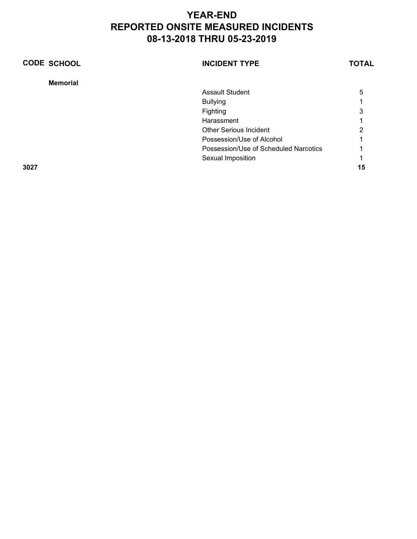| <b>CODE SCHOOL</b> | <b>INCIDENT TYPE</b>                  | <b>TOTAL</b> |
|--------------------|---------------------------------------|--------------|
| <b>Memorial</b>    |                                       |              |
|                    | <b>Assault Student</b>                | 5            |
|                    | <b>Bullying</b>                       |              |
|                    | Fighting                              | 3            |
|                    | Harassment                            |              |
|                    | <b>Other Serious Incident</b>         | າ            |
|                    | Possession/Use of Alcohol             |              |
|                    | Possession/Use of Scheduled Narcotics |              |
|                    | Sexual Imposition                     |              |
| 3027               |                                       | 15           |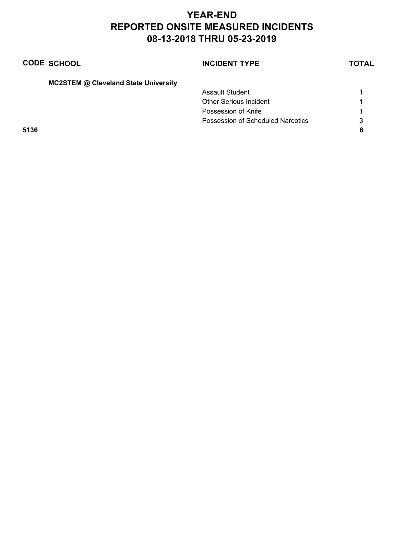|      | <b>CODE SCHOOL</b>                          | <b>INCIDENT TYPE</b>              | <b>TOTAL</b> |
|------|---------------------------------------------|-----------------------------------|--------------|
|      | <b>MC2STEM @ Cleveland State University</b> |                                   |              |
|      |                                             | Assault Student                   |              |
|      |                                             | <b>Other Serious Incident</b>     |              |
|      |                                             | Possession of Knife               |              |
|      |                                             | Possession of Scheduled Narcotics | 3            |
| 5136 |                                             |                                   |              |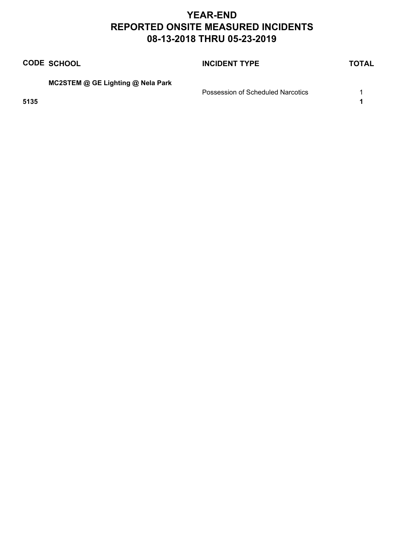|      | <b>CODE SCHOOL</b>                | <b>INCIDENT TYPE</b>              | <b>TOTAL</b> |
|------|-----------------------------------|-----------------------------------|--------------|
|      | MC2STEM @ GE Lighting @ Nela Park | Possession of Scheduled Narcotics |              |
| 5135 |                                   |                                   |              |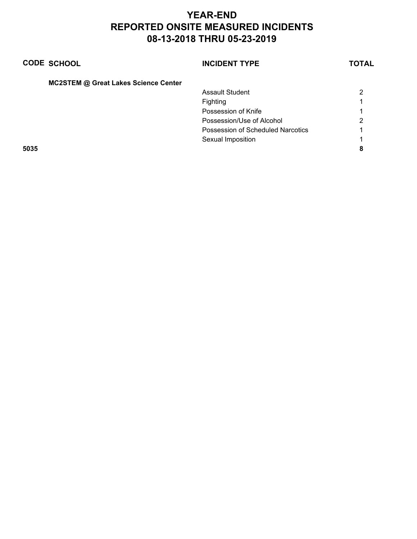|      | <b>CODE SCHOOL</b>                          | <b>INCIDENT TYPE</b>              | TOTAL |
|------|---------------------------------------------|-----------------------------------|-------|
|      | <b>MC2STEM @ Great Lakes Science Center</b> |                                   |       |
|      |                                             | Assault Student                   | 2     |
|      |                                             | Fighting                          |       |
|      |                                             | Possession of Knife               |       |
|      |                                             | Possession/Use of Alcohol         | າ     |
|      |                                             | Possession of Scheduled Narcotics |       |
|      |                                             | Sexual Imposition                 |       |
| 5035 |                                             |                                   | 8     |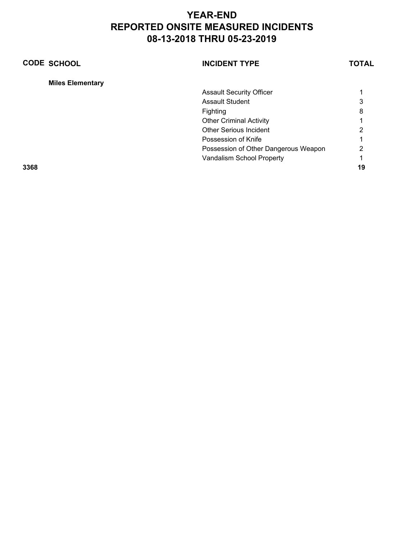| <b>CODE SCHOOL</b>      | <b>INCIDENT TYPE</b>            |                                      | <b>TOTAL</b> |
|-------------------------|---------------------------------|--------------------------------------|--------------|
| <b>Miles Elementary</b> |                                 |                                      |              |
|                         | <b>Assault Security Officer</b> |                                      |              |
|                         | <b>Assault Student</b>          |                                      | 3            |
|                         | Fighting                        |                                      | 8            |
|                         | <b>Other Criminal Activity</b>  |                                      |              |
|                         | Other Serious Incident          |                                      | 2            |
|                         | Possession of Knife             |                                      |              |
|                         |                                 | Possession of Other Dangerous Weapon | 2            |
|                         | Vandalism School Property       |                                      |              |
| 3368                    |                                 |                                      | 19           |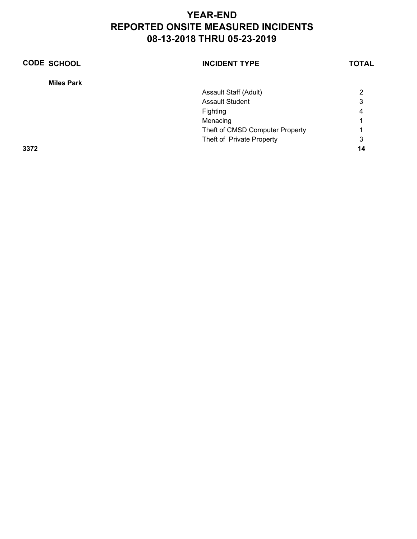| <b>CODE SCHOOL</b> | <b>INCIDENT TYPE</b>            | <b>TOTAL</b> |
|--------------------|---------------------------------|--------------|
| <b>Miles Park</b>  |                                 |              |
|                    | Assault Staff (Adult)           | 2            |
|                    | <b>Assault Student</b>          | 3            |
|                    | Fighting                        | 4            |
|                    | Menacing                        |              |
|                    | Theft of CMSD Computer Property |              |
|                    | Theft of Private Property       | 3            |
| 3372               |                                 | 14           |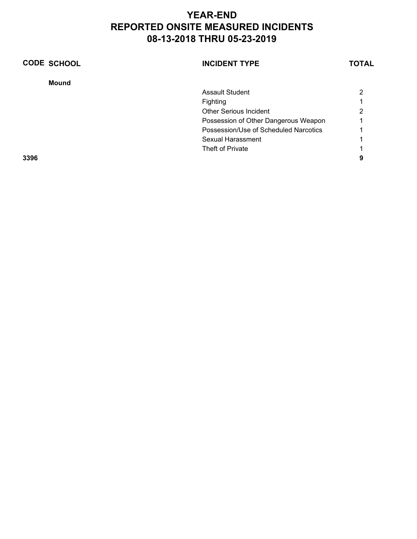| <b>CODE SCHOOL</b> | <b>INCIDENT TYPE</b>                  | <b>TOTAL</b> |
|--------------------|---------------------------------------|--------------|
| <b>Mound</b>       |                                       |              |
|                    | <b>Assault Student</b>                | າ            |
|                    | Fighting                              |              |
|                    | <b>Other Serious Incident</b>         | 2            |
|                    | Possession of Other Dangerous Weapon  |              |
|                    | Possession/Use of Scheduled Narcotics |              |
|                    | Sexual Harassment                     |              |
|                    | Theft of Private                      |              |
| 3396               |                                       | 9            |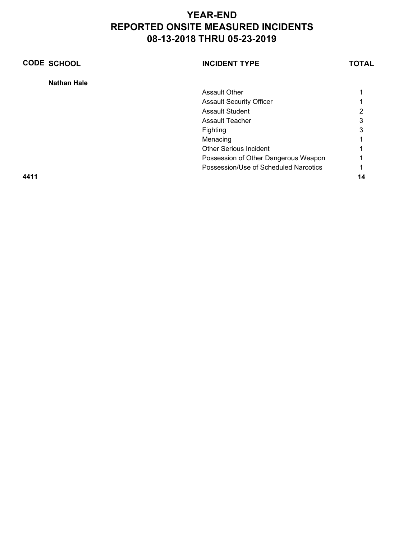| <b>CODE SCHOOL</b> | <b>INCIDENT TYPE</b>                  | TOTAL |
|--------------------|---------------------------------------|-------|
| <b>Nathan Hale</b> |                                       |       |
|                    | <b>Assault Other</b>                  |       |
|                    | <b>Assault Security Officer</b>       |       |
|                    | <b>Assault Student</b>                | 2     |
|                    | <b>Assault Teacher</b>                | 3     |
|                    | Fighting                              | 3     |
|                    | Menacing                              |       |
|                    | <b>Other Serious Incident</b>         |       |
|                    | Possession of Other Dangerous Weapon  |       |
|                    | Possession/Use of Scheduled Narcotics |       |
| 4411               |                                       | 14    |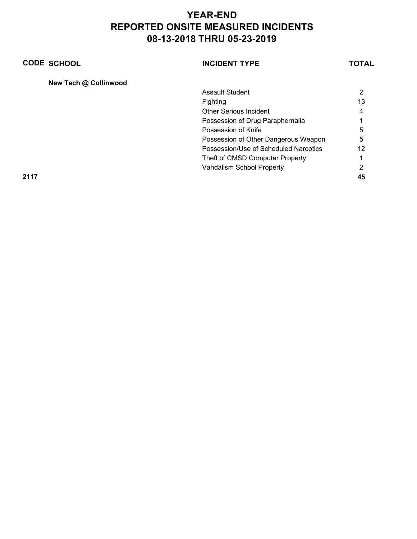| <b>CODE SCHOOL</b>    | <b>INCIDENT TYPE</b>                  | <b>TOTAL</b> |
|-----------------------|---------------------------------------|--------------|
| New Tech @ Collinwood |                                       |              |
|                       | <b>Assault Student</b>                | 2            |
|                       | Fighting                              | 13           |
|                       | <b>Other Serious Incident</b>         | 4            |
|                       | Possession of Drug Paraphernalia      |              |
|                       | Possession of Knife                   | 5            |
|                       | Possession of Other Dangerous Weapon  | 5            |
|                       | Possession/Use of Scheduled Narcotics | 12           |
|                       | Theft of CMSD Computer Property       |              |
|                       | Vandalism School Property             | 2            |
| 2117                  |                                       | 45           |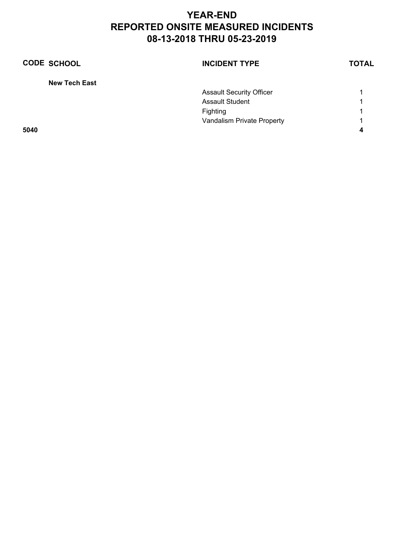| <b>CODE SCHOOL</b>   | <b>INCIDENT TYPE</b>            | <b>TOTAL</b> |
|----------------------|---------------------------------|--------------|
| <b>New Tech East</b> |                                 |              |
|                      | <b>Assault Security Officer</b> |              |
|                      | <b>Assault Student</b>          |              |
|                      | Fighting                        |              |
|                      | Vandalism Private Property      |              |
| 5040                 |                                 |              |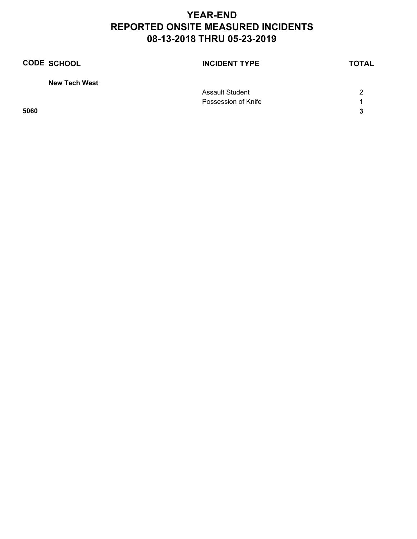| <b>CODE SCHOOL</b>   | <b>INCIDENT TYPE</b> | <b>TOTAL</b> |
|----------------------|----------------------|--------------|
| <b>New Tech West</b> |                      |              |
|                      | Assault Student      | 2            |
|                      | Possession of Knife  |              |
| 5060                 |                      | 3            |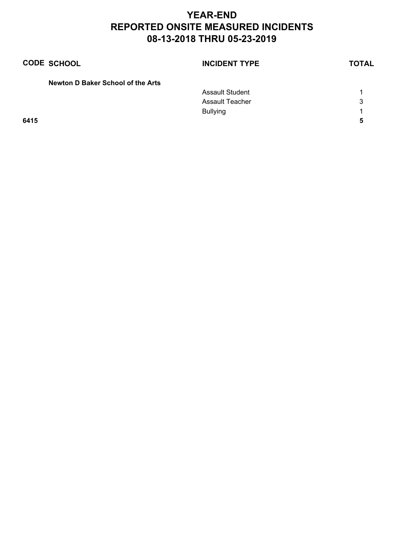| <b>CODE SCHOOL</b>                | <b>INCIDENT TYPE</b>   | <b>TOTAL</b> |
|-----------------------------------|------------------------|--------------|
| Newton D Baker School of the Arts |                        |              |
|                                   | <b>Assault Student</b> |              |
|                                   | <b>Assault Teacher</b> | 3            |
|                                   | <b>Bullying</b>        |              |
| 6415                              |                        |              |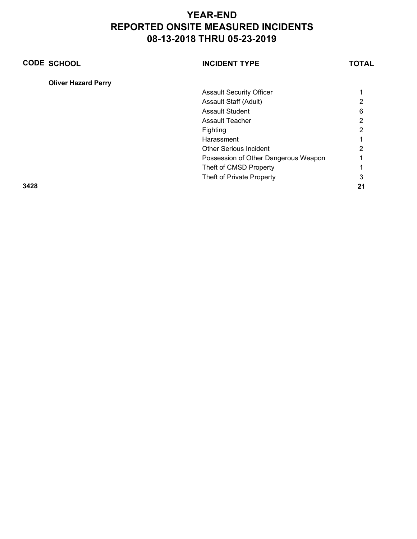| <b>CODE SCHOOL</b>         | <b>INCIDENT TYPE</b>                 | TOTAL |
|----------------------------|--------------------------------------|-------|
| <b>Oliver Hazard Perry</b> |                                      |       |
|                            | <b>Assault Security Officer</b>      |       |
|                            | Assault Staff (Adult)                | 2     |
|                            | <b>Assault Student</b>               | 6     |
|                            | Assault Teacher                      | 2     |
|                            | Fighting                             | 2     |
|                            | Harassment                           |       |
|                            | <b>Other Serious Incident</b>        | っ     |
|                            | Possession of Other Dangerous Weapon |       |
|                            | Theft of CMSD Property               |       |
|                            | Theft of Private Property            | 3     |
| 3428                       |                                      | 21    |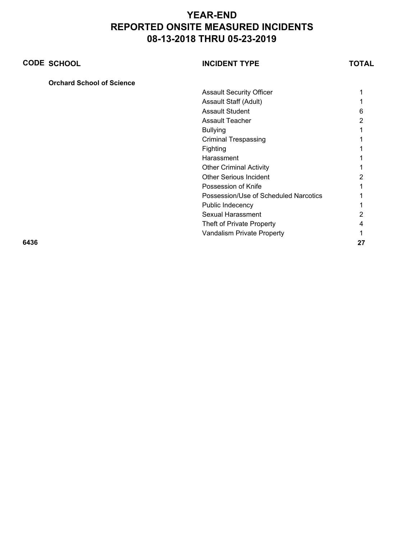|      | <b>CODE SCHOOL</b>               | <b>INCIDENT TYPE</b>                  | TOTAL |
|------|----------------------------------|---------------------------------------|-------|
|      | <b>Orchard School of Science</b> |                                       |       |
|      |                                  | <b>Assault Security Officer</b>       |       |
|      |                                  | Assault Staff (Adult)                 |       |
|      |                                  | <b>Assault Student</b>                | h     |
|      |                                  | <b>Assault Teacher</b>                |       |
|      |                                  | <b>Bullying</b>                       |       |
|      |                                  | <b>Criminal Trespassing</b>           |       |
|      |                                  | Fighting                              |       |
|      |                                  | Harassment                            |       |
|      |                                  | <b>Other Criminal Activity</b>        |       |
|      |                                  | <b>Other Serious Incident</b>         |       |
|      |                                  | Possession of Knife                   |       |
|      |                                  | Possession/Use of Scheduled Narcotics |       |
|      |                                  | Public Indecency                      |       |
|      |                                  | <b>Sexual Harassment</b>              |       |
|      |                                  | Theft of Private Property             |       |
|      |                                  | Vandalism Private Property            |       |
| 6436 |                                  |                                       | 27    |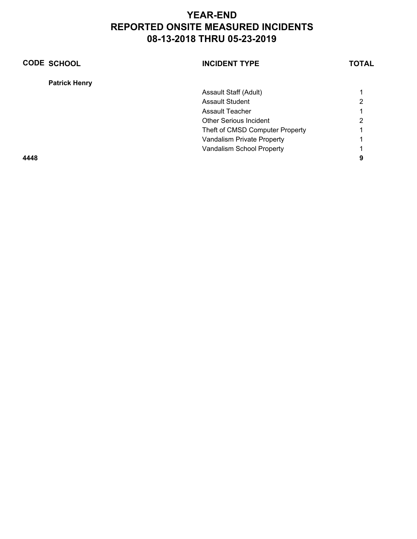| <b>CODE SCHOOL</b>   | <b>INCIDENT TYPE</b>            | TOTAL |
|----------------------|---------------------------------|-------|
| <b>Patrick Henry</b> |                                 |       |
|                      | Assault Staff (Adult)           |       |
|                      | <b>Assault Student</b>          | 2     |
|                      | <b>Assault Teacher</b>          |       |
|                      | <b>Other Serious Incident</b>   | 2     |
|                      | Theft of CMSD Computer Property |       |
|                      | Vandalism Private Property      |       |
|                      | Vandalism School Property       |       |
| 4448                 |                                 | 9     |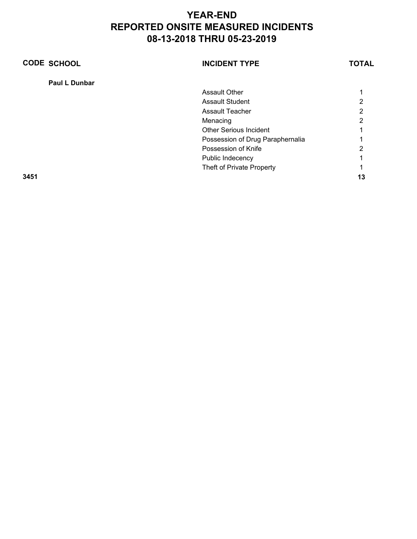| <b>CODE SCHOOL</b> | <b>INCIDENT TYPE</b>             | <b>TOTAL</b> |
|--------------------|----------------------------------|--------------|
| Paul L Dunbar      |                                  |              |
|                    | <b>Assault Other</b>             |              |
|                    | <b>Assault Student</b>           | っ            |
|                    | <b>Assault Teacher</b>           | 2            |
|                    | Menacing                         | 2            |
|                    | <b>Other Serious Incident</b>    |              |
|                    | Possession of Drug Paraphernalia |              |
|                    | Possession of Knife              | 2            |
|                    | Public Indecency                 |              |
|                    | Theft of Private Property        |              |
| 3451               |                                  | 13           |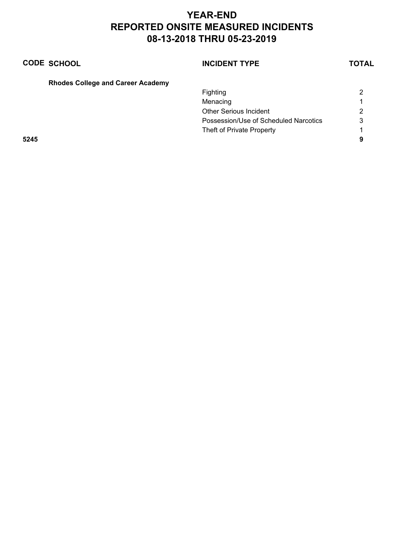Theft of Private Property 1

| <b>CODE SCHOOL</b>                       | <b>INCIDENT TYPE</b>                  | TOTAL |
|------------------------------------------|---------------------------------------|-------|
| <b>Rhodes College and Career Academy</b> |                                       |       |
|                                          | Fighting                              |       |
|                                          | Menacing                              |       |
|                                          | <b>Other Serious Incident</b>         | 2     |
|                                          | Possession/Use of Scheduled Narcotics |       |

**5245 9**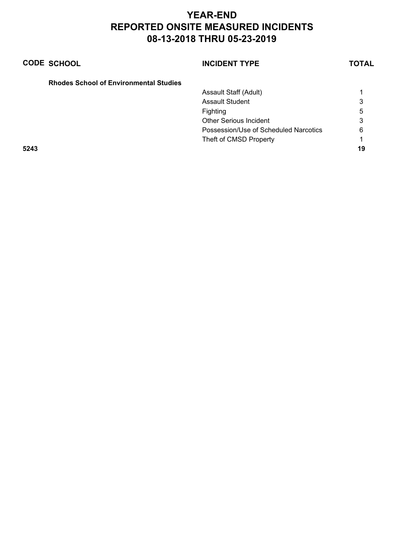|      | <b>CODE SCHOOL</b>                            | <b>INCIDENT TYPE</b>                  | <b>TOTAL</b> |
|------|-----------------------------------------------|---------------------------------------|--------------|
|      | <b>Rhodes School of Environmental Studies</b> |                                       |              |
|      |                                               | Assault Staff (Adult)                 |              |
|      |                                               | Assault Student                       | 3            |
|      |                                               | Fighting                              | 5            |
|      |                                               | <b>Other Serious Incident</b>         | 3            |
|      |                                               | Possession/Use of Scheduled Narcotics | 6            |
|      |                                               | Theft of CMSD Property                |              |
| 5243 |                                               |                                       | 19           |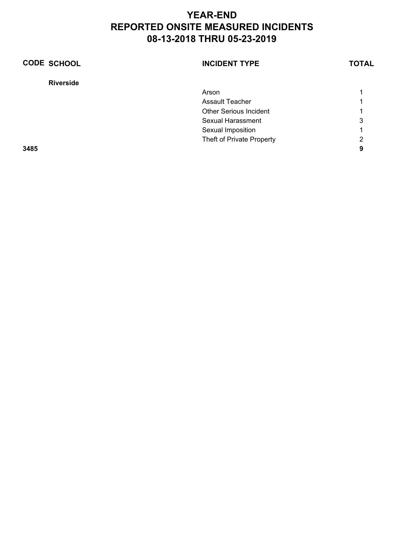| <b>CODE SCHOOL</b> | <b>INCIDENT TYPE</b>          | <b>TOTAL</b> |
|--------------------|-------------------------------|--------------|
| <b>Riverside</b>   |                               |              |
|                    | Arson                         |              |
|                    | <b>Assault Teacher</b>        |              |
|                    | <b>Other Serious Incident</b> |              |
|                    | Sexual Harassment             | 3            |
|                    | Sexual Imposition             | 4            |
|                    | Theft of Private Property     | 2            |
| 3485               |                               | 9            |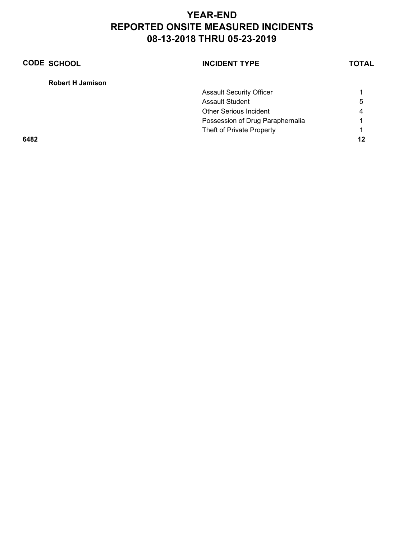| <b>CODE SCHOOL</b>      | <b>INCIDENT TYPE</b>             | <b>TOTAL</b> |
|-------------------------|----------------------------------|--------------|
| <b>Robert H Jamison</b> |                                  |              |
|                         | <b>Assault Security Officer</b>  |              |
|                         | Assault Student                  | 5            |
|                         | <b>Other Serious Incident</b>    | 4            |
|                         | Possession of Drug Paraphernalia |              |
|                         | Theft of Private Property        | 1            |
| 6482                    |                                  | 12           |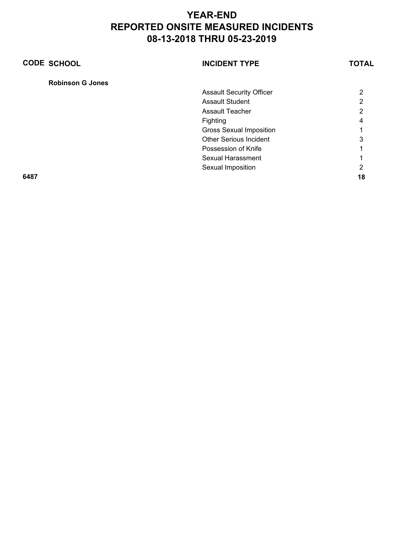| <b>CODE SCHOOL</b>      | <b>INCIDENT TYPE</b>            | <b>TOTAL</b> |
|-------------------------|---------------------------------|--------------|
| <b>Robinson G Jones</b> |                                 |              |
|                         | <b>Assault Security Officer</b> | 2            |
|                         | <b>Assault Student</b>          | ົ            |
|                         | <b>Assault Teacher</b>          | 2            |
|                         | Fighting                        | 4            |
|                         | <b>Gross Sexual Imposition</b>  |              |
|                         | <b>Other Serious Incident</b>   | 3            |
|                         | Possession of Knife             |              |
|                         | Sexual Harassment               |              |
|                         | Sexual Imposition               | າ            |
| 6487                    |                                 | 18           |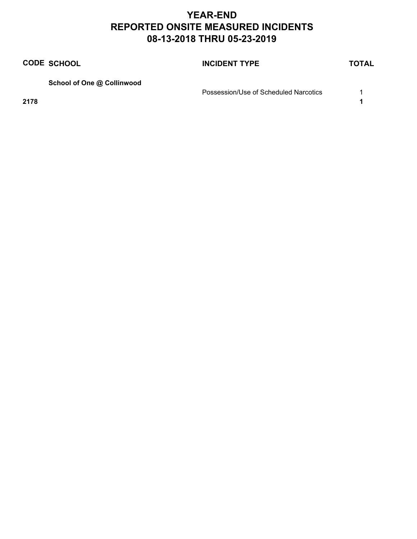|      | <b>CODE SCHOOL</b>         | <b>INCIDENT TYPE</b>                  | <b>TOTAL</b> |
|------|----------------------------|---------------------------------------|--------------|
|      | School of One @ Collinwood |                                       |              |
|      |                            | Possession/Use of Scheduled Narcotics |              |
| 2178 |                            |                                       |              |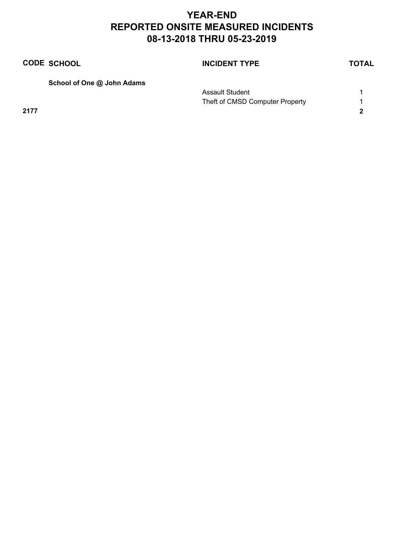|      | <b>CODE SCHOOL</b>         | <b>INCIDENT TYPE</b>            | <b>TOTAL</b> |
|------|----------------------------|---------------------------------|--------------|
|      | School of One @ John Adams |                                 |              |
|      |                            | <b>Assault Student</b>          |              |
|      |                            | Theft of CMSD Computer Property |              |
| 2177 |                            |                                 |              |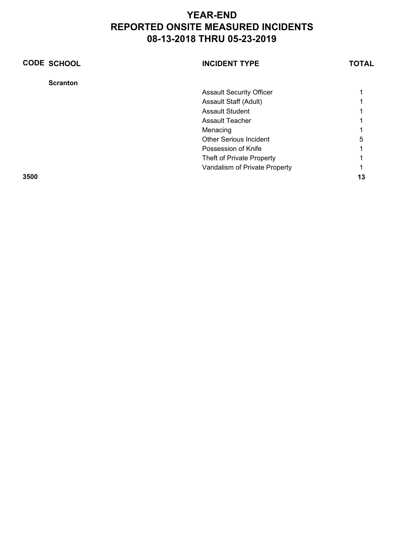| <b>CODE SCHOOL</b> | <b>INCIDENT TYPE</b>            | TOTAL |
|--------------------|---------------------------------|-------|
| <b>Scranton</b>    |                                 |       |
|                    | <b>Assault Security Officer</b> |       |
|                    | Assault Staff (Adult)           |       |
|                    | <b>Assault Student</b>          |       |
|                    | <b>Assault Teacher</b>          |       |
|                    | Menacing                        |       |
|                    | <b>Other Serious Incident</b>   | 5     |
|                    | Possession of Knife             |       |
|                    | Theft of Private Property       |       |
|                    | Vandalism of Private Property   |       |
| 3500               |                                 | 13    |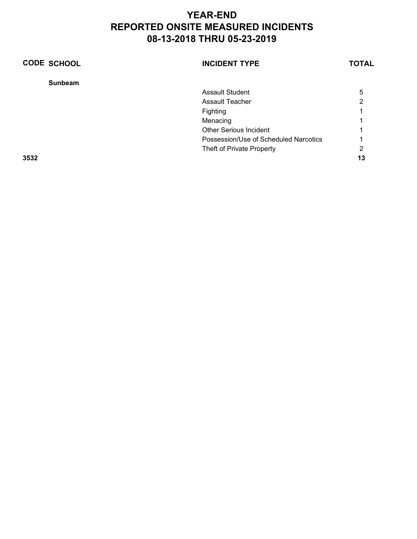| <b>CODE SCHOOL</b> | <b>INCIDENT TYPE</b>                  | <b>TOTAL</b> |
|--------------------|---------------------------------------|--------------|
| <b>Sunbeam</b>     |                                       |              |
|                    | <b>Assault Student</b>                | 5            |
|                    | <b>Assault Teacher</b>                | 2            |
|                    | Fighting                              |              |
|                    | Menacing                              |              |
|                    | <b>Other Serious Incident</b>         |              |
|                    | Possession/Use of Scheduled Narcotics |              |
|                    | Theft of Private Property             | 2            |
| 3532               |                                       | 13           |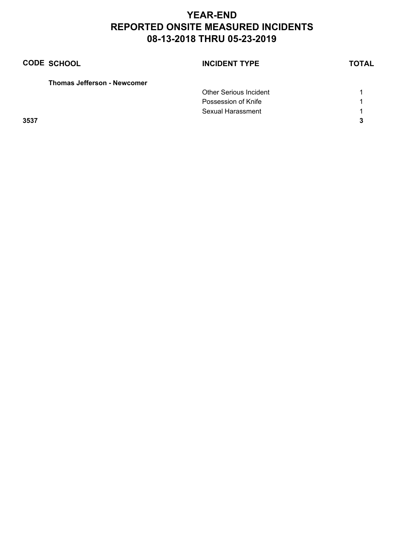| <b>CODE SCHOOL</b>                 | <b>INCIDENT TYPE</b>          | <b>TOTAL</b> |
|------------------------------------|-------------------------------|--------------|
| <b>Thomas Jefferson - Newcomer</b> |                               |              |
|                                    | <b>Other Serious Incident</b> |              |
|                                    | Possession of Knife           |              |
|                                    | Sexual Harassment             | 1            |
| 3537                               |                               | ּ            |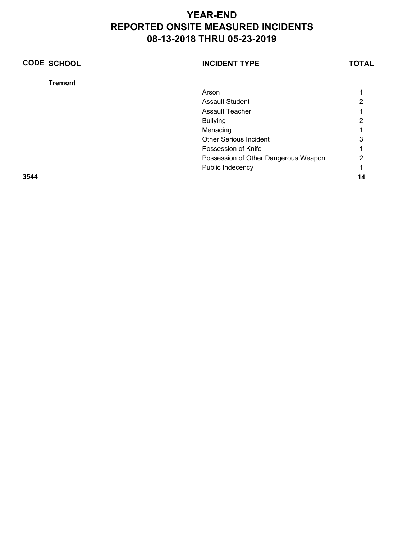| <b>CODE SCHOOL</b> | <b>INCIDENT TYPE</b>                 | <b>TOTAL</b> |
|--------------------|--------------------------------------|--------------|
| <b>Tremont</b>     |                                      |              |
|                    | Arson                                |              |
|                    | <b>Assault Student</b>               | າ            |
|                    | <b>Assault Teacher</b>               |              |
|                    | <b>Bullying</b>                      | 2            |
|                    | Menacing                             |              |
|                    | <b>Other Serious Incident</b>        | 3            |
|                    | Possession of Knife                  |              |
|                    | Possession of Other Dangerous Weapon | າ            |
|                    | Public Indecency                     |              |
| 3544               |                                      | 14           |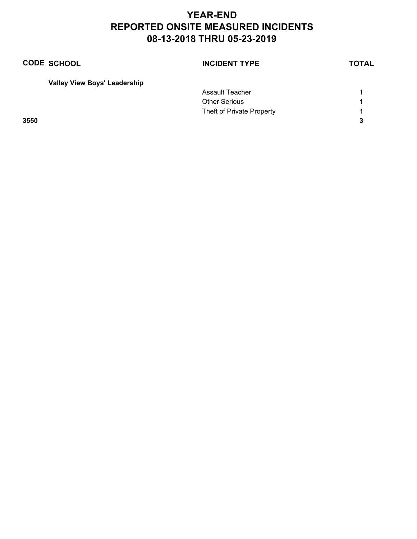| <b>CODE SCHOOL</b>                  | <b>INCIDENT TYPE</b>      | <b>TOTAL</b> |
|-------------------------------------|---------------------------|--------------|
| <b>Valley View Boys' Leadership</b> |                           |              |
|                                     | Assault Teacher           |              |
|                                     | <b>Other Serious</b>      | 1            |
|                                     | Theft of Private Property |              |

**3550 3**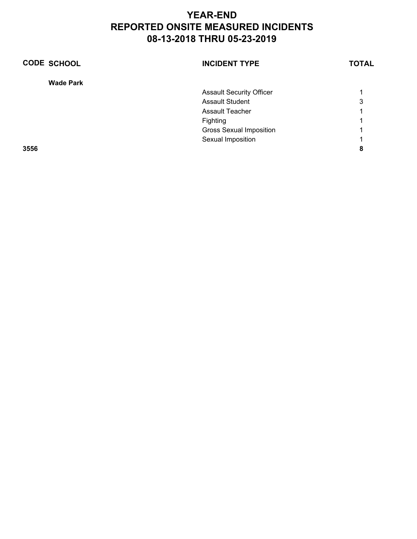| <b>CODE SCHOOL</b> | <b>INCIDENT TYPE</b>            | <b>TOTAL</b> |
|--------------------|---------------------------------|--------------|
| <b>Wade Park</b>   |                                 |              |
|                    | <b>Assault Security Officer</b> | 1            |
|                    | <b>Assault Student</b>          | 3            |
|                    | <b>Assault Teacher</b>          |              |
|                    | Fighting                        | 1            |
|                    | <b>Gross Sexual Imposition</b>  | 1            |
|                    | Sexual Imposition               | 4            |
| 3556               |                                 | 8            |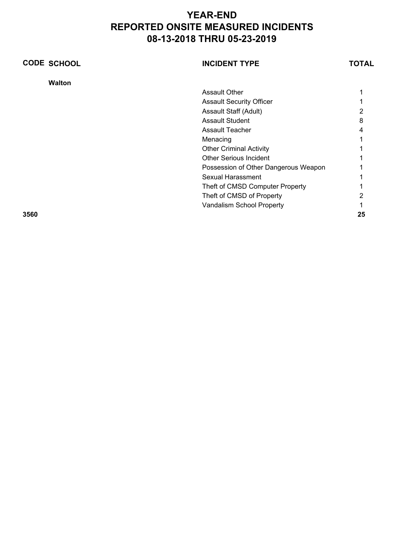| <b>CODE SCHOOL</b> |               | <b>INCIDENT TYPE</b>                 | TOTAL |
|--------------------|---------------|--------------------------------------|-------|
|                    | <b>Walton</b> |                                      |       |
|                    |               | <b>Assault Other</b>                 |       |
|                    |               | <b>Assault Security Officer</b>      |       |
|                    |               | Assault Staff (Adult)                |       |
|                    |               | <b>Assault Student</b>               | 8     |
|                    |               | <b>Assault Teacher</b>               | 4     |
|                    |               | Menacing                             |       |
|                    |               | <b>Other Criminal Activity</b>       |       |
|                    |               | <b>Other Serious Incident</b>        |       |
|                    |               | Possession of Other Dangerous Weapon |       |
|                    |               | <b>Sexual Harassment</b>             |       |
|                    |               | Theft of CMSD Computer Property      |       |
|                    |               | Theft of CMSD of Property            |       |
|                    |               | Vandalism School Property            |       |
| 3560               |               |                                      | 25    |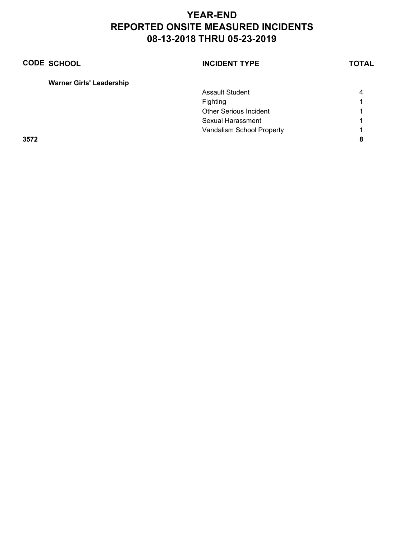| <b>CODE SCHOOL</b> |                                 | <b>INCIDENT TYPE</b>          | <b>TOTAL</b> |
|--------------------|---------------------------------|-------------------------------|--------------|
|                    | <b>Warner Girls' Leadership</b> |                               |              |
|                    |                                 | <b>Assault Student</b>        | 4            |
|                    |                                 | Fighting                      |              |
|                    |                                 | <b>Other Serious Incident</b> |              |
|                    |                                 | Sexual Harassment             |              |
|                    |                                 | Vandalism School Property     |              |
| 3572               |                                 |                               | 8            |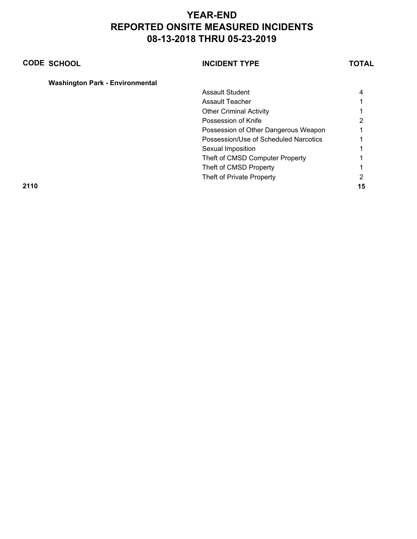| <b>CODE SCHOOL</b> |                                        | <b>INCIDENT TYPE</b>                  | TOTAL |
|--------------------|----------------------------------------|---------------------------------------|-------|
|                    | <b>Washington Park - Environmental</b> |                                       |       |
|                    |                                        | <b>Assault Student</b>                | 4     |
|                    |                                        | Assault Teacher                       |       |
|                    |                                        | <b>Other Criminal Activity</b>        |       |
|                    |                                        | Possession of Knife                   | 2     |
|                    |                                        | Possession of Other Dangerous Weapon  |       |
|                    |                                        | Possession/Use of Scheduled Narcotics |       |
|                    |                                        | Sexual Imposition                     |       |
|                    |                                        | Theft of CMSD Computer Property       |       |
|                    |                                        | Theft of CMSD Property                |       |
|                    |                                        | Theft of Private Property             | 2     |
| 2110               |                                        |                                       | 15    |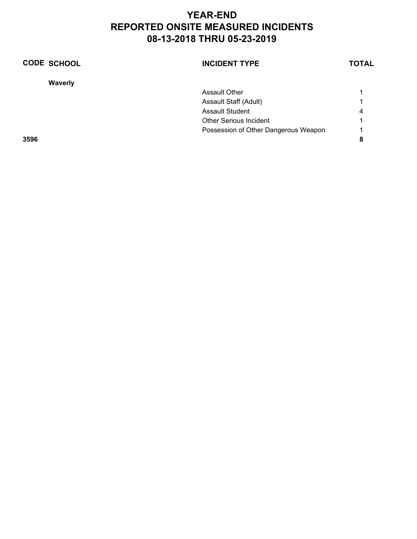| <b>CODE SCHOOL</b> | <b>INCIDENT TYPE</b>                 | <b>TOTAL</b> |
|--------------------|--------------------------------------|--------------|
| <b>Waverly</b>     |                                      |              |
|                    | Assault Other                        |              |
|                    | Assault Staff (Adult)                |              |
|                    | <b>Assault Student</b>               | 4            |
|                    | <b>Other Serious Incident</b>        |              |
|                    | Possession of Other Dangerous Weapon | 1            |
| 3596               |                                      | 8            |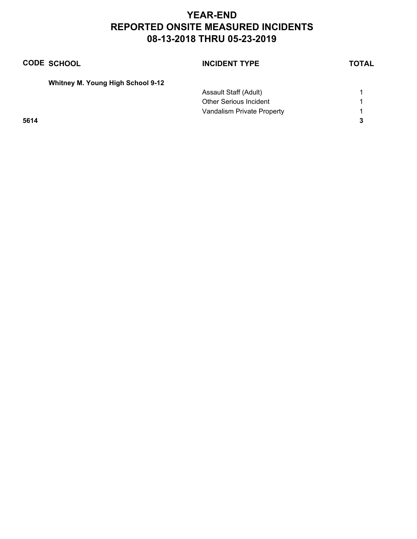| <b>CODE SCHOOL</b>                       | <b>INCIDENT TYPE</b>          | <b>TOTAL</b> |
|------------------------------------------|-------------------------------|--------------|
| <b>Whitney M. Young High School 9-12</b> |                               |              |
|                                          | Assault Staff (Adult)         |              |
|                                          | <b>Other Serious Incident</b> | 1            |
|                                          | Vandalism Private Property    | 1            |
| 5614                                     |                               | 3            |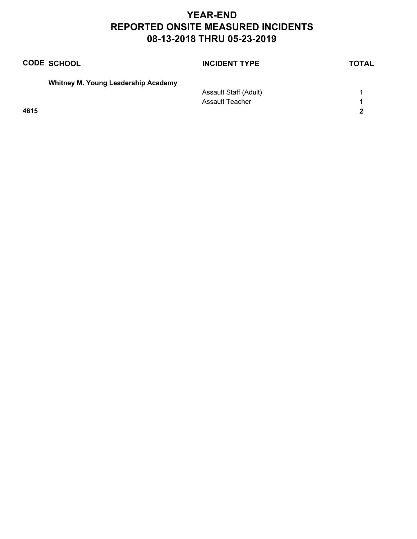|      | <b>CODE SCHOOL</b>                         | <b>INCIDENT TYPE</b>   | <b>TOTAL</b> |
|------|--------------------------------------------|------------------------|--------------|
|      | <b>Whitney M. Young Leadership Academy</b> |                        |              |
|      |                                            | Assault Staff (Adult)  |              |
|      |                                            | <b>Assault Teacher</b> | 1            |
| 4615 |                                            |                        | 2            |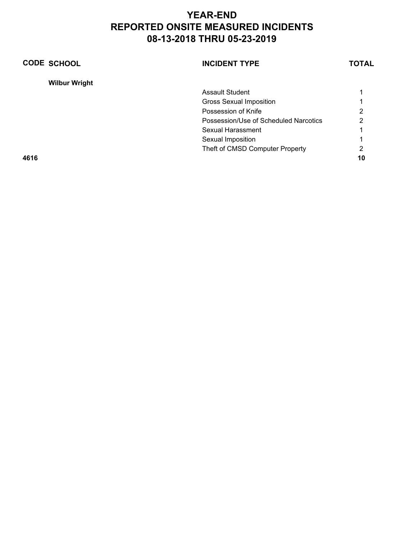| <b>CODE SCHOOL</b>   | <b>INCIDENT TYPE</b>                  | <b>TOTAL</b> |
|----------------------|---------------------------------------|--------------|
| <b>Wilbur Wright</b> |                                       |              |
|                      | <b>Assault Student</b>                |              |
|                      | <b>Gross Sexual Imposition</b>        |              |
|                      | Possession of Knife                   | 2            |
|                      | Possession/Use of Scheduled Narcotics | 2            |
|                      | Sexual Harassment                     |              |
|                      | Sexual Imposition                     |              |
|                      | Theft of CMSD Computer Property       | 2            |
| 4616                 |                                       | 10           |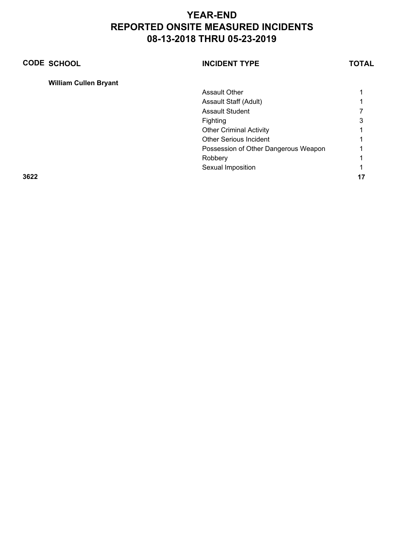| <b>CODE SCHOOL</b>           | <b>INCIDENT TYPE</b>                 | <b>TOTAL</b> |
|------------------------------|--------------------------------------|--------------|
| <b>William Cullen Bryant</b> |                                      |              |
|                              | <b>Assault Other</b>                 |              |
|                              | Assault Staff (Adult)                |              |
|                              | <b>Assault Student</b>               |              |
|                              | Fighting                             | 3            |
|                              | <b>Other Criminal Activity</b>       |              |
|                              | <b>Other Serious Incident</b>        |              |
|                              | Possession of Other Dangerous Weapon |              |
|                              | Robbery                              |              |
|                              | Sexual Imposition                    |              |
| 3622                         |                                      |              |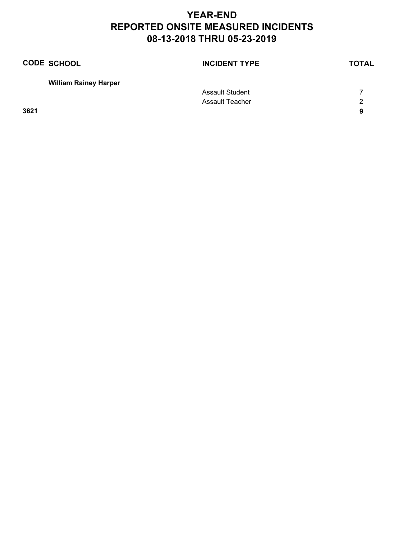| <b>CODE SCHOOL</b>           | <b>INCIDENT TYPE</b>   | <b>TOTAL</b> |
|------------------------------|------------------------|--------------|
| <b>William Rainey Harper</b> |                        |              |
|                              | <b>Assault Student</b> |              |
|                              | Assault Teacher        | 2            |
| 3621                         |                        | 9            |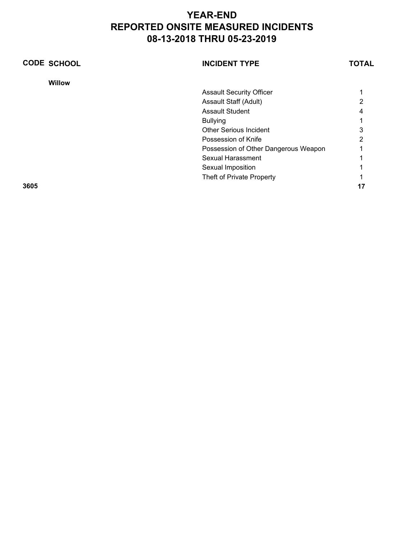| <b>CODE SCHOOL</b> | <b>INCIDENT TYPE</b>                 | TOTAL |
|--------------------|--------------------------------------|-------|
| <b>Willow</b>      |                                      |       |
|                    | <b>Assault Security Officer</b>      |       |
|                    | Assault Staff (Adult)                | 2     |
|                    | <b>Assault Student</b>               |       |
|                    | <b>Bullying</b>                      |       |
|                    | <b>Other Serious Incident</b>        |       |
|                    | Possession of Knife                  | っ     |
|                    | Possession of Other Dangerous Weapon |       |
|                    | Sexual Harassment                    |       |
|                    | Sexual Imposition                    |       |
|                    | Theft of Private Property            |       |
| 3605               |                                      |       |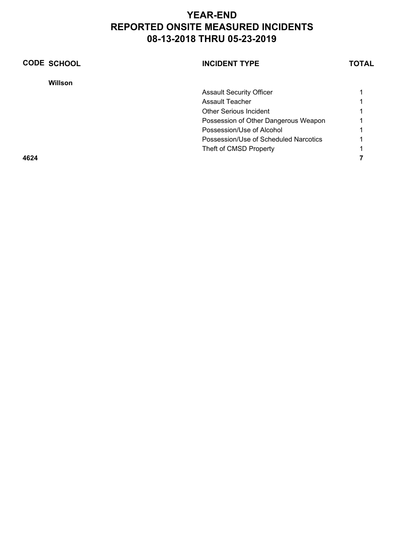| <b>CODE SCHOOL</b> | <b>INCIDENT TYPE</b>                  | <b>TOTAL</b> |
|--------------------|---------------------------------------|--------------|
| Willson            |                                       |              |
|                    | <b>Assault Security Officer</b>       |              |
|                    | Assault Teacher                       |              |
|                    | <b>Other Serious Incident</b>         |              |
|                    | Possession of Other Dangerous Weapon  |              |
|                    | Possession/Use of Alcohol             |              |
|                    | Possession/Use of Scheduled Narcotics |              |
|                    | Theft of CMSD Property                |              |
| 4624               |                                       |              |